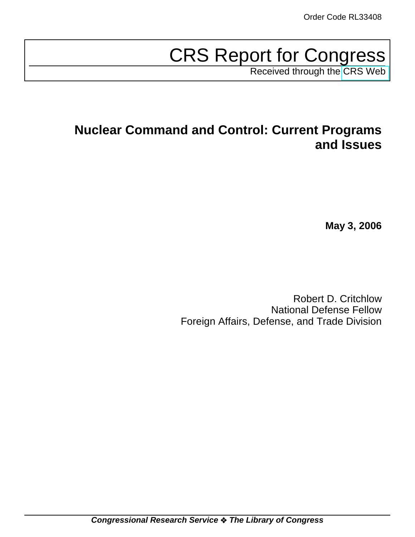# CRS Report for Congress

Received through the [CRS Web](http://www.fas.org/sgp/crs/nuke/index.html)

# **Nuclear Command and Control: Current Programs and Issues**

**May 3, 2006**

Robert D. Critchlow National Defense Fellow Foreign Affairs, Defense, and Trade Division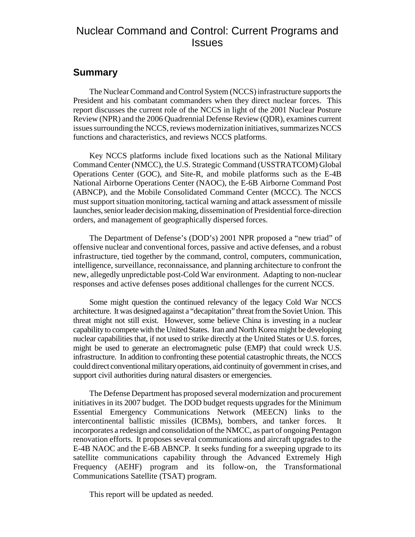# Nuclear Command and Control: Current Programs and **Issues**

### **Summary**

The Nuclear Command and Control System (NCCS) infrastructure supports the President and his combatant commanders when they direct nuclear forces. This report discusses the current role of the NCCS in light of the 2001 Nuclear Posture Review (NPR) and the 2006 Quadrennial Defense Review (QDR), examines current issues surrounding the NCCS, reviews modernization initiatives, summarizes NCCS functions and characteristics, and reviews NCCS platforms.

Key NCCS platforms include fixed locations such as the National Military Command Center (NMCC), the U.S. Strategic Command (USSTRATCOM) Global Operations Center (GOC), and Site-R, and mobile platforms such as the E-4B National Airborne Operations Center (NAOC), the E-6B Airborne Command Post (ABNCP), and the Mobile Consolidated Command Center (MCCC). The NCCS must support situation monitoring, tactical warning and attack assessment of missile launches, senior leader decision making, dissemination of Presidential force-direction orders, and management of geographically dispersed forces.

The Department of Defense's (DOD's) 2001 NPR proposed a "new triad" of offensive nuclear and conventional forces, passive and active defenses, and a robust infrastructure, tied together by the command, control, computers, communication, intelligence, surveillance, reconnaissance, and planning architecture to confront the new, allegedly unpredictable post-Cold War environment. Adapting to non-nuclear responses and active defenses poses additional challenges for the current NCCS.

Some might question the continued relevancy of the legacy Cold War NCCS architecture. It was designed against a "decapitation" threat from the Soviet Union. This threat might not still exist. However, some believe China is investing in a nuclear capability to compete with the United States. Iran and North Korea might be developing nuclear capabilities that, if not used to strike directly at the United States or U.S. forces, might be used to generate an electromagnetic pulse (EMP) that could wreck U.S. infrastructure. In addition to confronting these potential catastrophic threats, the NCCS could direct conventional military operations, aid continuity of government in crises, and support civil authorities during natural disasters or emergencies.

The Defense Department has proposed several modernization and procurement initiatives in its 2007 budget. The DOD budget requests upgrades for the Minimum Essential Emergency Communications Network (MEECN) links to the intercontinental ballistic missiles (ICBMs), bombers, and tanker forces. It incorporates a redesign and consolidation of the NMCC, as part of ongoing Pentagon renovation efforts. It proposes several communications and aircraft upgrades to the E-4B NAOC and the E-6B ABNCP. It seeks funding for a sweeping upgrade to its satellite communications capability through the Advanced Extremely High Frequency (AEHF) program and its follow-on, the Transformational Communications Satellite (TSAT) program.

This report will be updated as needed.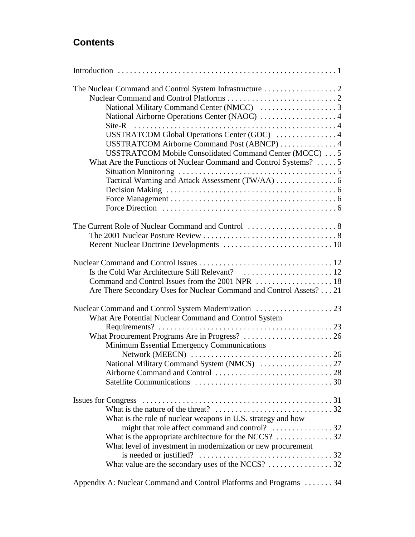# **Contents**

| USSTRATCOM Global Operations Center (GOC)  4<br>USSTRATCOM Airborne Command Post (ABNCP)  4<br>USSTRATCOM Mobile Consolidated Command Center (MCCC)  5<br>What Are the Functions of Nuclear Command and Control Systems?  5                                                           |
|---------------------------------------------------------------------------------------------------------------------------------------------------------------------------------------------------------------------------------------------------------------------------------------|
|                                                                                                                                                                                                                                                                                       |
| Are There Secondary Uses for Nuclear Command and Control Assets? 21                                                                                                                                                                                                                   |
| What Are Potential Nuclear Command and Control System<br>Minimum Essential Emergency Communications                                                                                                                                                                                   |
| What is the nature of the threat? $\dots \dots \dots \dots \dots \dots \dots \dots \dots 32$<br>What is the role of nuclear weapons in U.S. strategy and how<br>What is the appropriate architecture for the NCCS? 32<br>What level of investment in modernization or new procurement |
| Appendix A: Nuclear Command and Control Platforms and Programs  34                                                                                                                                                                                                                    |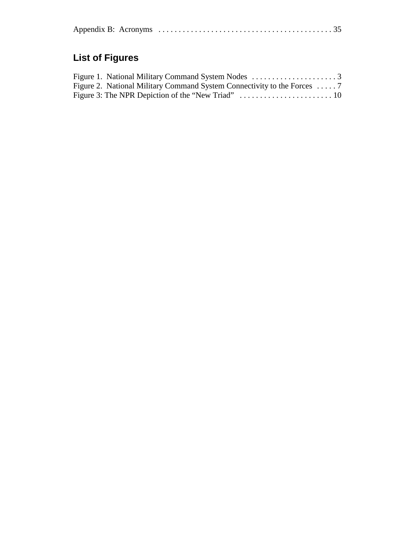|--|--|--|

# **List of Figures**

| Figure 2. National Military Command System Connectivity to the Forces  7 |  |
|--------------------------------------------------------------------------|--|
|                                                                          |  |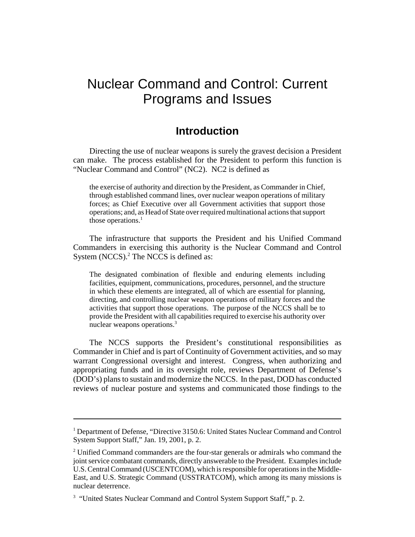# Nuclear Command and Control: Current Programs and Issues

# **Introduction**

Directing the use of nuclear weapons is surely the gravest decision a President can make. The process established for the President to perform this function is "Nuclear Command and Control" (NC2). NC2 is defined as

the exercise of authority and direction by the President, as Commander in Chief, through established command lines, over nuclear weapon operations of military forces; as Chief Executive over all Government activities that support those operations; and, as Head of State over required multinational actions that support those operations. $<sup>1</sup>$ </sup>

The infrastructure that supports the President and his Unified Command Commanders in exercising this authority is the Nuclear Command and Control System (NCCS).<sup>2</sup> The NCCS is defined as:

The designated combination of flexible and enduring elements including facilities, equipment, communications, procedures, personnel, and the structure in which these elements are integrated, all of which are essential for planning, directing, and controlling nuclear weapon operations of military forces and the activities that support those operations. The purpose of the NCCS shall be to provide the President with all capabilities required to exercise his authority over nuclear weapons operations.<sup>3</sup>

The NCCS supports the President's constitutional responsibilities as Commander in Chief and is part of Continuity of Government activities, and so may warrant Congressional oversight and interest. Congress, when authorizing and appropriating funds and in its oversight role, reviews Department of Defense's (DOD's) plans to sustain and modernize the NCCS. In the past, DOD has conducted reviews of nuclear posture and systems and communicated those findings to the

<sup>&</sup>lt;sup>1</sup> Department of Defense, "Directive 3150.6: United States Nuclear Command and Control System Support Staff," Jan. 19, 2001, p. 2.

<sup>&</sup>lt;sup>2</sup> Unified Command commanders are the four-star generals or admirals who command the joint service combatant commands, directly answerable to the President. Examples include U.S. Central Command (USCENTCOM), which is responsible for operations in the Middle-East, and U.S. Strategic Command (USSTRATCOM), which among its many missions is nuclear deterrence.

<sup>&</sup>lt;sup>3</sup> "United States Nuclear Command and Control System Support Staff," p. 2.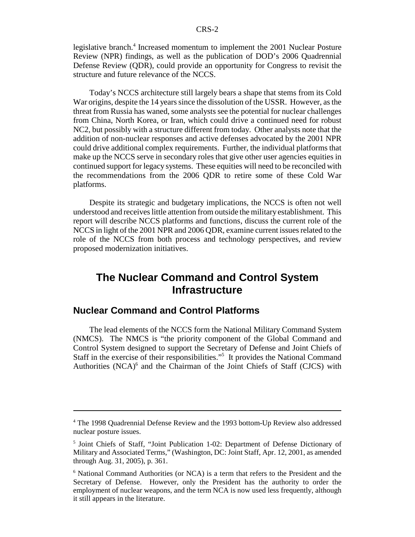legislative branch.<sup>4</sup> Increased momentum to implement the 2001 Nuclear Posture Review (NPR) findings, as well as the publication of DOD's 2006 Quadrennial Defense Review (QDR), could provide an opportunity for Congress to revisit the structure and future relevance of the NCCS.

Today's NCCS architecture still largely bears a shape that stems from its Cold War origins, despite the 14 years since the dissolution of the USSR. However, as the threat from Russia has waned, some analysts see the potential for nuclear challenges from China, North Korea, or Iran, which could drive a continued need for robust NC2, but possibly with a structure different from today. Other analysts note that the addition of non-nuclear responses and active defenses advocated by the 2001 NPR could drive additional complex requirements. Further, the individual platforms that make up the NCCS serve in secondary roles that give other user agencies equities in continued support for legacy systems. These equities will need to be reconciled with the recommendations from the 2006 QDR to retire some of these Cold War platforms.

Despite its strategic and budgetary implications, the NCCS is often not well understood and receives little attention from outside the military establishment. This report will describe NCCS platforms and functions, discuss the current role of the NCCS in light of the 2001 NPR and 2006 QDR, examine current issues related to the role of the NCCS from both process and technology perspectives, and review proposed modernization initiatives.

# **The Nuclear Command and Control System Infrastructure**

### **Nuclear Command and Control Platforms**

The lead elements of the NCCS form the National Military Command System (NMCS). The NMCS is "the priority component of the Global Command and Control System designed to support the Secretary of Defense and Joint Chiefs of Staff in the exercise of their responsibilities."<sup>5</sup> It provides the National Command Authorities (NCA)<sup>6</sup> and the Chairman of the Joint Chiefs of Staff (CJCS) with

<sup>&</sup>lt;sup>4</sup> The 1998 Quadrennial Defense Review and the 1993 bottom-Up Review also addressed nuclear posture issues.

<sup>&</sup>lt;sup>5</sup> Joint Chiefs of Staff, "Joint Publication 1-02: Department of Defense Dictionary of Military and Associated Terms," (Washington, DC: Joint Staff, Apr. 12, 2001, as amended through Aug. 31, 2005), p. 361.

<sup>&</sup>lt;sup>6</sup> National Command Authorities (or NCA) is a term that refers to the President and the Secretary of Defense. However, only the President has the authority to order the employment of nuclear weapons, and the term NCA is now used less frequently, although it still appears in the literature.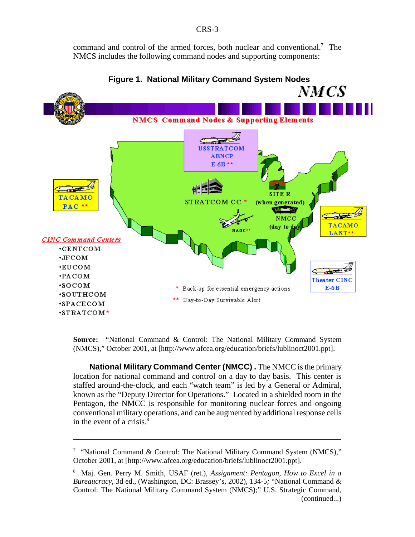command and control of the armed forces, both nuclear and conventional.<sup>7</sup> The NMCS includes the following command nodes and supporting components:



**Figure 1. National Military Command System Nodes**

**Source:** "National Command & Control: The National Military Command System (NMCS)," October 2001, at [http://www.afcea.org/education/briefs/lublinoct2001.ppt].

**National Military Command Center (NMCC) .** The NMCC is the primary location for national command and control on a day to day basis. This center is staffed around-the-clock, and each "watch team" is led by a General or Admiral, known as the "Deputy Director for Operations." Located in a shielded room in the Pentagon, the NMCC is responsible for monitoring nuclear forces and ongoing conventional military operations, and can be augmented by additional response cells in the event of a crisis. $8$ 

<sup>&</sup>lt;sup>7</sup> "National Command & Control: The National Military Command System (NMCS)," October 2001, at [http://www.afcea.org/education/briefs/lublinoct2001.ppt].

<sup>8</sup> Maj. Gen. Perry M. Smith, USAF (ret.), *Assignment: Pentagon, How to Excel in a Bureaucracy*, 3d ed., (Washington, DC: Brassey's, 2002)*,* 134-5*;* "National Command & Control: The National Military Command System (NMCS);" U.S. Strategic Command, (continued...)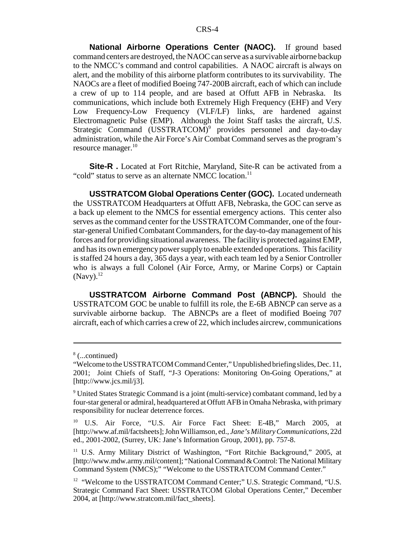**National Airborne Operations Center (NAOC).** If ground based command centers are destroyed, the NAOC can serve as a survivable airborne backup to the NMCC's command and control capabilities. A NAOC aircraft is always on alert, and the mobility of this airborne platform contributes to its survivability. The NAOCs are a fleet of modified Boeing 747-200B aircraft, each of which can include a crew of up to 114 people, and are based at Offutt AFB in Nebraska. Its communications, which include both Extremely High Frequency (EHF) and Very Low Frequency-Low Frequency (VLF/LF) links, are hardened against Electromagnetic Pulse (EMP). Although the Joint Staff tasks the aircraft, U.S. Strategic Command (USSTRATCOM)<sup>9</sup> provides personnel and day-to-day administration, while the Air Force's Air Combat Command serves as the program's resource manager.<sup>10</sup>

**Site-R** . Located at Fort Ritchie, Maryland, Site-R can be activated from a "cold" status to serve as an alternate NMCC location.<sup>11</sup>

**USSTRATCOM Global Operations Center (GOC).** Located underneath the USSTRATCOM Headquarters at Offutt AFB, Nebraska, the GOC can serve as a back up element to the NMCS for essential emergency actions. This center also serves as the command center for the USSTRATCOM Commander, one of the fourstar-general Unified Combatant Commanders, for the day-to-day management of his forces and for providing situational awareness. The facility is protected against EMP, and has its own emergency power supply to enable extended operations. This facility is staffed 24 hours a day, 365 days a year, with each team led by a Senior Controller who is always a full Colonel (Air Force, Army, or Marine Corps) or Captain  $(Navy).<sup>12</sup>$ 

**USSTRATCOM Airborne Command Post (ABNCP).** Should the USSTRATCOM GOC be unable to fulfill its role, the E-6B ABNCP can serve as a survivable airborne backup. The ABNCPs are a fleet of modified Boeing 707 aircraft, each of which carries a crew of 22, which includes aircrew, communications

<sup>8</sup> (...continued)

<sup>&</sup>quot;Welcome to the USSTRATCOM Command Center," Unpublished briefing slides, Dec. 11, 2001; Joint Chiefs of Staff, "J-3 Operations: Monitoring On-Going Operations," at [http://www.jcs.mil/j3].

<sup>&</sup>lt;sup>9</sup> United States Strategic Command is a joint (multi-service) combatant command, led by a four-star general or admiral, headquartered at Offutt AFB in Omaha Nebraska, with primary responsibility for nuclear deterrence forces.

<sup>&</sup>lt;sup>10</sup> U.S. Air Force, "U.S. Air Force Fact Sheet: E-4B," March 2005, at [http://www.af.mil/factsheets]; John Williamson, ed., *Jane's Military Communications*, 22d ed., 2001-2002, (Surrey, UK: Jane's Information Group, 2001), pp. 757-8.

<sup>&</sup>lt;sup>11</sup> U.S. Army Military District of Washington, "Fort Ritchie Background," 2005, at [http://www.mdw.army.mil/content]; "National Command & Control: The National Military Command System (NMCS);" "Welcome to the USSTRATCOM Command Center."

<sup>&</sup>lt;sup>12</sup> "Welcome to the USSTRATCOM Command Center;" U.S. Strategic Command, "U.S. Strategic Command Fact Sheet: USSTRATCOM Global Operations Center," December 2004, at [http://www.stratcom.mil/fact\_sheets].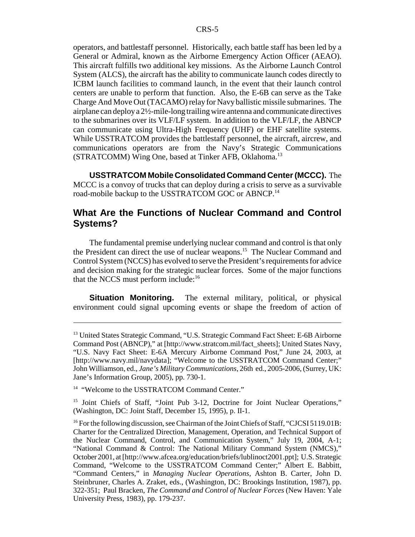operators, and battlestaff personnel. Historically, each battle staff has been led by a General or Admiral, known as the Airborne Emergency Action Officer (AEAO). This aircraft fulfills two additional key missions. As the Airborne Launch Control System (ALCS), the aircraft has the ability to communicate launch codes directly to ICBM launch facilities to command launch, in the event that their launch control centers are unable to perform that function. Also, the E-6B can serve as the Take Charge And Move Out (TACAMO) relay for Navy ballistic missile submarines. The airplane can deploy a 2½-mile-long trailing wire antenna and communicate directives to the submarines over its VLF/LF system. In addition to the VLF/LF, the ABNCP can communicate using Ultra-High Frequency (UHF) or EHF satellite systems. While USSTRATCOM provides the battlestaff personnel, the aircraft, aircrew, and communications operators are from the Navy's Strategic Communications (STRATCOMM) Wing One, based at Tinker AFB, Oklahoma.13

**USSTRATCOM Mobile Consolidated Command Center (MCCC).** The MCCC is a convoy of trucks that can deploy during a crisis to serve as a survivable road-mobile backup to the USSTRATCOM GOC or ABNCP.<sup>14</sup>

# **What Are the Functions of Nuclear Command and Control Systems?**

The fundamental premise underlying nuclear command and control is that only the President can direct the use of nuclear weapons.<sup>15</sup> The Nuclear Command and Control System (NCCS) has evolved to serve the President's requirements for advice and decision making for the strategic nuclear forces. Some of the major functions that the NCCS must perform include:<sup>16</sup>

**Situation Monitoring.** The external military, political, or physical environment could signal upcoming events or shape the freedom of action of

<sup>&</sup>lt;sup>13</sup> United States Strategic Command, "U.S. Strategic Command Fact Sheet: E-6B Airborne Command Post (ABNCP)," at [http://www.stratcom.mil/fact\_sheets]; United States Navy, "U.S. Navy Fact Sheet: E-6A Mercury Airborne Command Post," June 24, 2003, at [http://www.navy.mil/navydata]; "Welcome to the USSTRATCOM Command Center;" John Williamson, ed., *Jane's Military Communications*, 26th ed., 2005-2006, (Surrey, UK: Jane's Information Group, 2005), pp. 730-1.

<sup>&</sup>lt;sup>14</sup> "Welcome to the USSTRATCOM Command Center."

<sup>&</sup>lt;sup>15</sup> Joint Chiefs of Staff, "Joint Pub 3-12, Doctrine for Joint Nuclear Operations," (Washington, DC: Joint Staff, December 15, 1995), p. II-1.

<sup>&</sup>lt;sup>16</sup> For the following discussion, see Chairman of the Joint Chiefs of Staff, "CJCSI 5119.01B: Charter for the Centralized Direction, Management, Operation, and Technical Support of the Nuclear Command, Control, and Communication System," July 19, 2004, A-1; "National Command & Control: The National Military Command System (NMCS)," October 2001, at [http://www.afcea.org/education/briefs/lublinoct2001.ppt]; U.S. Strategic Command, "Welcome to the USSTRATCOM Command Center;" Albert E. Babbitt, "Command Centers," in *Managing Nuclear Operations*, Ashton B. Carter, John D. Steinbruner, Charles A. Zraket, eds., (Washington, DC: Brookings Institution, 1987), pp. 322-351; Paul Bracken, *The Command and Control of Nuclear Forces* (New Haven: Yale University Press, 1983), pp. 179-237.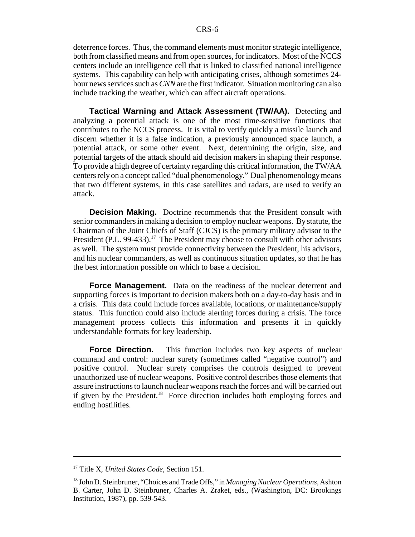deterrence forces. Thus, the command elements must monitor strategic intelligence, both from classified means and from open sources, for indicators. Most of the NCCS centers include an intelligence cell that is linked to classified national intelligence systems. This capability can help with anticipating crises, although sometimes 24 hour news services such as *CNN* are the first indicator. Situation monitoring can also include tracking the weather, which can affect aircraft operations.

**Tactical Warning and Attack Assessment (TW/AA).** Detecting and analyzing a potential attack is one of the most time-sensitive functions that contributes to the NCCS process. It is vital to verify quickly a missile launch and discern whether it is a false indication, a previously announced space launch, a potential attack, or some other event. Next, determining the origin, size, and potential targets of the attack should aid decision makers in shaping their response. To provide a high degree of certainty regarding this critical information, the TW/AA centers rely on a concept called "dual phenomenology." Dual phenomenology means that two different systems, in this case satellites and radars, are used to verify an attack.

**Decision Making.** Doctrine recommends that the President consult with senior commanders in making a decision to employ nuclear weapons. By statute, the Chairman of the Joint Chiefs of Staff (CJCS) is the primary military advisor to the President (P.L. 99-433).<sup>17</sup> The President may choose to consult with other advisors as well. The system must provide connectivity between the President, his advisors, and his nuclear commanders, as well as continuous situation updates, so that he has the best information possible on which to base a decision.

**Force Management.** Data on the readiness of the nuclear deterrent and supporting forces is important to decision makers both on a day-to-day basis and in a crisis. This data could include forces available, locations, or maintenance/supply status. This function could also include alerting forces during a crisis. The force management process collects this information and presents it in quickly understandable formats for key leadership.

**Force Direction.** This function includes two key aspects of nuclear command and control: nuclear surety (sometimes called "negative control") and positive control. Nuclear surety comprises the controls designed to prevent unauthorized use of nuclear weapons. Positive control describes those elements that assure instructions to launch nuclear weapons reach the forces and will be carried out if given by the President.<sup>18</sup> Force direction includes both employing forces and ending hostilities.

<sup>17</sup> Title X, *United States Code*, Section 151.

<sup>18</sup> John D. Steinbruner, "Choices and Trade Offs," in *Managing Nuclear Operations*, Ashton B. Carter, John D. Steinbruner, Charles A. Zraket, eds., (Washington, DC: Brookings Institution, 1987), pp. 539-543.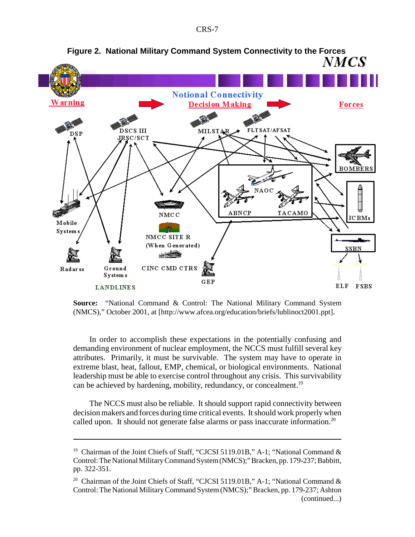

**Source:** "National Command & Control: The National Military Command System (NMCS)," October 2001, at [http://www.afcea.org/education/briefs/lublinoct2001.ppt].

In order to accomplish these expectations in the potentially confusing and demanding environment of nuclear employment, the NCCS must fulfill several key attributes. Primarily, it must be survivable. The system may have to operate in extreme blast, heat, fallout, EMP, chemical, or biological environments. National leadership must be able to exercise control throughout any crisis. This survivability can be achieved by hardening, mobility, redundancy, or concealment.<sup>19</sup>

The NCCS must also be reliable. It should support rapid connectivity between decision makers and forces during time critical events. It should work properly when called upon. It should not generate false alarms or pass inaccurate information.<sup>20</sup>

<sup>&</sup>lt;sup>19</sup> Chairman of the Joint Chiefs of Staff, "CJCSI 5119.01B," A-1; "National Command & Control: The National Military Command System (NMCS);" Bracken, pp. 179-237; Babbitt, pp. 322-351.

<sup>&</sup>lt;sup>20</sup> Chairman of the Joint Chiefs of Staff, "CJCSI 5119.01B," A-1; "National Command & Control: The National Military Command System (NMCS);" Bracken, pp. 179-237; Ashton (continued...)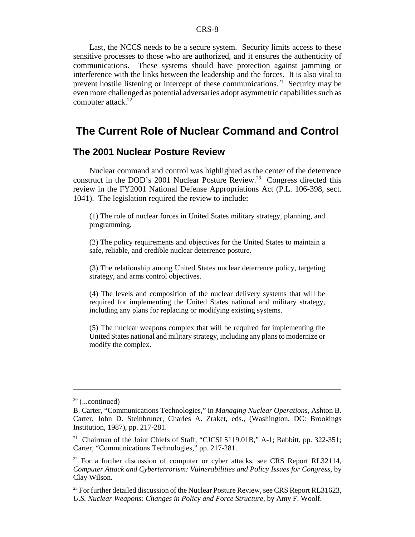Last, the NCCS needs to be a secure system. Security limits access to these sensitive processes to those who are authorized, and it ensures the authenticity of communications. These systems should have protection against jamming or interference with the links between the leadership and the forces. It is also vital to prevent hostile listening or intercept of these communications.21 Security may be even more challenged as potential adversaries adopt asymmetric capabilities such as computer attack.<sup>22</sup>

# **The Current Role of Nuclear Command and Control**

#### **The 2001 Nuclear Posture Review**

Nuclear command and control was highlighted as the center of the deterrence construct in the DOD's 2001 Nuclear Posture Review.<sup>23</sup> Congress directed this review in the FY2001 National Defense Appropriations Act (P.L. 106-398, sect. 1041). The legislation required the review to include:

(1) The role of nuclear forces in United States military strategy, planning, and programming.

(2) The policy requirements and objectives for the United States to maintain a safe, reliable, and credible nuclear deterrence posture.

(3) The relationship among United States nuclear deterrence policy, targeting strategy, and arms control objectives.

(4) The levels and composition of the nuclear delivery systems that will be required for implementing the United States national and military strategy, including any plans for replacing or modifying existing systems.

(5) The nuclear weapons complex that will be required for implementing the United States national and military strategy, including any plans to modernize or modify the complex.

 $20$  (...continued)

B. Carter, "Communications Technologies," in *Managing Nuclear Operations*, Ashton B. Carter, John D. Steinbruner, Charles A. Zraket, eds., (Washington, DC: Brookings Institution, 1987), pp. 217-281.

<sup>&</sup>lt;sup>21</sup> Chairman of the Joint Chiefs of Staff, "CJCSI 5119.01B," A-1; Babbitt, pp. 322-351; Carter, "Communications Technologies," pp. 217-281.

 $22$  For a further discussion of computer or cyber attacks, see CRS Report RL32114, *Computer Attack and Cyberterrorism: Vulnerabilities and Policy Issues for Congress*, by Clay Wilson.

 $^{23}$  For further detailed discussion of the Nuclear Posture Review, see CRS Report RL31623, *U.S. Nuclear Weapons: Changes in Policy and Force Structure*, by Amy F. Woolf.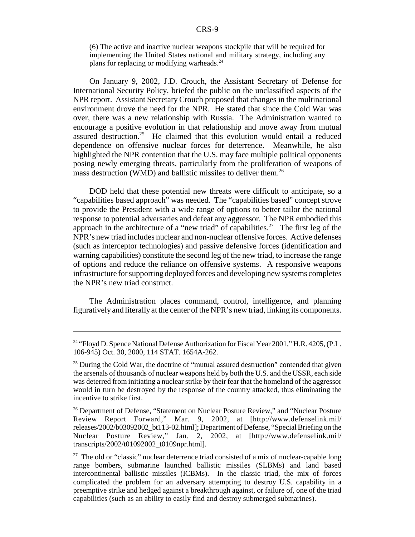(6) The active and inactive nuclear weapons stockpile that will be required for implementing the United States national and military strategy, including any plans for replacing or modifying warheads.<sup>24</sup>

On January 9, 2002, J.D. Crouch, the Assistant Secretary of Defense for International Security Policy, briefed the public on the unclassified aspects of the NPR report. Assistant Secretary Crouch proposed that changes in the multinational environment drove the need for the NPR. He stated that since the Cold War was over, there was a new relationship with Russia. The Administration wanted to encourage a positive evolution in that relationship and move away from mutual assured destruction.<sup>25</sup> He claimed that this evolution would entail a reduced dependence on offensive nuclear forces for deterrence. Meanwhile, he also highlighted the NPR contention that the U.S. may face multiple political opponents posing newly emerging threats, particularly from the proliferation of weapons of mass destruction (WMD) and ballistic missiles to deliver them.26

DOD held that these potential new threats were difficult to anticipate, so a "capabilities based approach" was needed. The "capabilities based" concept strove to provide the President with a wide range of options to better tailor the national response to potential adversaries and defeat any aggressor. The NPR embodied this approach in the architecture of a "new triad" of capabilities.<sup>27</sup> The first leg of the NPR's new triad includes nuclear and non-nuclear offensive forces. Active defenses (such as interceptor technologies) and passive defensive forces (identification and warning capabilities) constitute the second leg of the new triad, to increase the range of options and reduce the reliance on offensive systems. A responsive weapons infrastructure for supporting deployed forces and developing new systems completes the NPR's new triad construct.

The Administration places command, control, intelligence, and planning figuratively and literally at the center of the NPR's new triad, linking its components.

<sup>&</sup>lt;sup>24</sup> "Floyd D. Spence National Defense Authorization for Fiscal Year 2001," H.R. 4205, (P.L. 106-945) Oct. 30, 2000, 114 STAT. 1654A-262.

 $25$  During the Cold War, the doctrine of "mutual assured destruction" contended that given the arsenals of thousands of nuclear weapons held by both the U.S. and the USSR, each side was deterred from initiating a nuclear strike by their fear that the homeland of the aggressor would in turn be destroyed by the response of the country attacked, thus eliminating the incentive to strike first.

<sup>&</sup>lt;sup>26</sup> Department of Defense, "Statement on Nuclear Posture Review," and "Nuclear Posture Review Report Forward," Mar. 9, 2002, at [http://www.defenselink.mil/ releases/2002/b03092002\_bt113-02.html]; Department of Defense, "Special Briefing on the Nuclear Posture Review," Jan. 2, 2002, at [http://www.defenselink.mil/ transcripts/2002/t01092002\_t0109npr.html].

 $27$  The old or "classic" nuclear deterrence triad consisted of a mix of nuclear-capable long range bombers, submarine launched ballistic missiles (SLBMs) and land based intercontinental ballistic missiles (ICBMs). In the classic triad, the mix of forces complicated the problem for an adversary attempting to destroy U.S. capability in a preemptive strike and hedged against a breakthrough against, or failure of, one of the triad capabilities (such as an ability to easily find and destroy submerged submarines).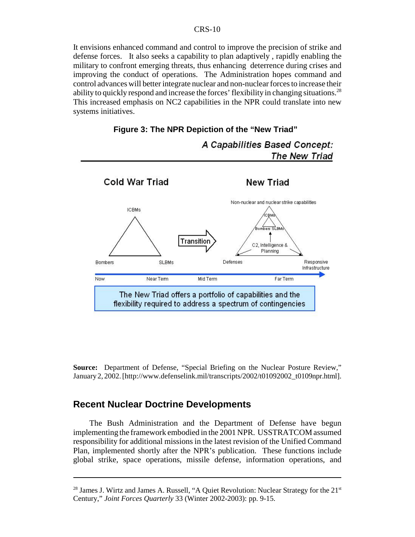It envisions enhanced command and control to improve the precision of strike and defense forces. It also seeks a capability to plan adaptively , rapidly enabling the military to confront emerging threats, thus enhancing deterrence during crises and improving the conduct of operations. The Administration hopes command and control advances will better integrate nuclear and non-nuclear forces to increase their ability to quickly respond and increase the forces' flexibility in changing situations.<sup>28</sup> This increased emphasis on NC2 capabilities in the NPR could translate into new systems initiatives.





A Capabilities Based Concept: **The New Triad** 

**Source:** Department of Defense, "Special Briefing on the Nuclear Posture Review," January 2, 2002. [http://www.defenselink.mil/transcripts/2002/t01092002\_t0109npr.html].

### **Recent Nuclear Doctrine Developments**

The Bush Administration and the Department of Defense have begun implementing the framework embodied in the 2001 NPR. USSTRATCOM assumed responsibility for additional missions in the latest revision of the Unified Command Plan, implemented shortly after the NPR's publication. These functions include global strike, space operations, missile defense, information operations, and

<sup>&</sup>lt;sup>28</sup> James J. Wirtz and James A. Russell, "A Quiet Revolution: Nuclear Strategy for the  $21<sup>st</sup>$ Century," *Joint Forces Quarterly* 33 (Winter 2002-2003): pp. 9-15.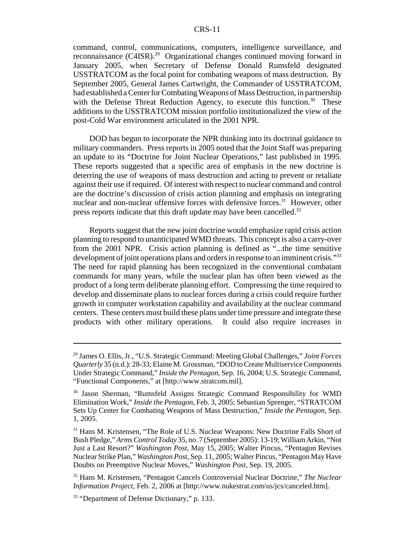command, control, communications, computers, intelligence surveillance, and reconnaissance (C4ISR).29 Organizational changes continued moving forward in January 2005, when Secretary of Defense Donald Rumsfeld designated USSTRATCOM as the focal point for combating weapons of mass destruction. By September 2005, General James Cartwright, the Commander of USSTRATCOM, had established a Center for Combating Weapons of Mass Destruction, in partnership with the Defense Threat Reduction Agency, to execute this function.<sup>30</sup> These additions to the USSTRATCOM mission portfolio institutionalized the view of the post-Cold War environment articulated in the 2001 NPR.

DOD has begun to incorporate the NPR thinking into its doctrinal guidance to military commanders. Press reports in 2005 noted that the Joint Staff was preparing an update to its "Doctrine for Joint Nuclear Operations," last published in 1995. These reports suggested that a specific area of emphasis in the new doctrine is deterring the use of weapons of mass destruction and acting to prevent or retaliate against their use if required. Of interest with respect to nuclear command and control are the doctrine's discussion of crisis action planning and emphasis on integrating nuclear and non-nuclear offensive forces with defensive forces.<sup>31</sup> However, other press reports indicate that this draft update may have been cancelled.<sup>32</sup>

Reports suggest that the new joint doctrine would emphasize rapid crisis action planning to respond to unanticipated WMD threats. This concept is also a carry-over from the 2001 NPR. Crisis action planning is defined as "...the time sensitive development of joint operations plans and orders in response to an imminent crisis."<sup>33</sup> The need for rapid planning has been recognized in the conventional combatant commands for many years, while the nuclear plan has often been viewed as the product of a long term deliberate planning effort. Compressing the time required to develop and disseminate plans to nuclear forces during a crisis could require further growth in computer workstation capability and availability at the nuclear command centers. These centers must build these plans under time pressure and integrate these products with other military operations. It could also require increases in

<sup>29</sup> James O. Ellis, Jr., "U.S. Strategic Command: Meeting Global Challenges," *Joint Forces Quarterly* 35 (n.d.): 28-33; Elaine M. Grossman, "DOD to Create Multiservice Components Under Strategic Command," *Inside the Pentagon*, Sep. 16, 2004; U.S. Strategic Command, "Functional Components," at [http://www.stratcom.mil].

<sup>&</sup>lt;sup>30</sup> Jason Sherman, "Rumsfeld Assigns Strategic Command Responsibility for WMD Elimination Work," *Inside the Pentagon*, Feb. 3, 2005; Sebastian Sprenger, "STRATCOM Sets Up Center for Combating Weapons of Mass Destruction," *Inside the Pentagon*, Sep. 1, 2005.

<sup>&</sup>lt;sup>31</sup> Hans M. Kristensen, "The Role of U.S. Nuclear Weapons: New Doctrine Falls Short of Bush Pledge," *Arms Control Today* 35, no. 7 (September 2005): 13-19; William Arkin, "Not Just a Last Resort?" *Washington Post*, May 15, 2005; Walter Pincus, "Pentagon Revises Nuclear Strike Plan," *Washington Post*, Sep. 11, 2005; Walter Pincus, "Pentagon May Have Doubts on Preemptive Nuclear Moves," *Washington Post*, Sep. 19, 2005.

<sup>32</sup> Hans M. Kristensen, "Pentagon Cancels Controversial Nuclear Doctrine," *The Nuclear Information Project*, Feb. 2, 2006 at [http://www.nukestrat.com/us/jcs/canceled.htm].

<sup>&</sup>lt;sup>33</sup> "Department of Defense Dictionary," p. 133.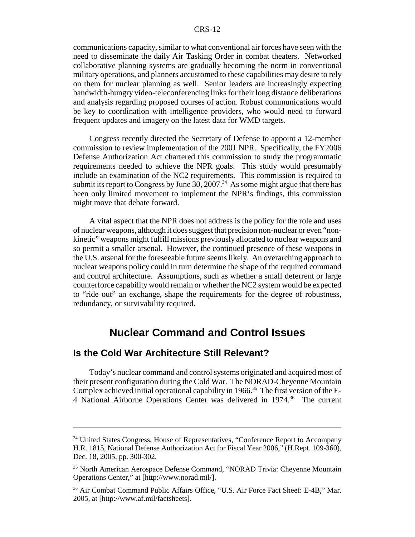communications capacity, similar to what conventional air forces have seen with the need to disseminate the daily Air Tasking Order in combat theaters. Networked collaborative planning systems are gradually becoming the norm in conventional military operations, and planners accustomed to these capabilities may desire to rely on them for nuclear planning as well. Senior leaders are increasingly expecting bandwidth-hungry video-teleconferencing links for their long distance deliberations and analysis regarding proposed courses of action. Robust communications would be key to coordination with intelligence providers, who would need to forward frequent updates and imagery on the latest data for WMD targets.

Congress recently directed the Secretary of Defense to appoint a 12-member commission to review implementation of the 2001 NPR. Specifically, the FY2006 Defense Authorization Act chartered this commission to study the programmatic requirements needed to achieve the NPR goals. This study would presumably include an examination of the NC2 requirements. This commission is required to submit its report to Congress by June  $30, 2007$ .<sup>34</sup> As some might argue that there has been only limited movement to implement the NPR's findings, this commission might move that debate forward.

A vital aspect that the NPR does not address is the policy for the role and uses of nuclear weapons, although it does suggest that precision non-nuclear or even "nonkinetic" weapons might fulfill missions previously allocated to nuclear weapons and so permit a smaller arsenal. However, the continued presence of these weapons in the U.S. arsenal for the foreseeable future seems likely. An overarching approach to nuclear weapons policy could in turn determine the shape of the required command and control architecture. Assumptions, such as whether a small deterrent or large counterforce capability would remain or whether the NC2 system would be expected to "ride out" an exchange, shape the requirements for the degree of robustness, redundancy, or survivability required.

# **Nuclear Command and Control Issues**

# **Is the Cold War Architecture Still Relevant?**

Today's nuclear command and control systems originated and acquired most of their present configuration during the Cold War. The NORAD-Cheyenne Mountain Complex achieved initial operational capability in 1966.<sup>35</sup> The first version of the E-4 National Airborne Operations Center was delivered in 1974.<sup>36</sup> The current

<sup>&</sup>lt;sup>34</sup> United States Congress, House of Representatives, "Conference Report to Accompany H.R. 1815, National Defense Authorization Act for Fiscal Year 2006," (H.Rept. 109-360), Dec. 18, 2005, pp. 300-302.

<sup>&</sup>lt;sup>35</sup> North American Aerospace Defense Command, "NORAD Trivia: Cheyenne Mountain Operations Center," at [http://www.norad.mil/].

<sup>36</sup> Air Combat Command Public Affairs Office, "U.S. Air Force Fact Sheet: E-4B," Mar. 2005, at [http://www.af.mil/factsheets].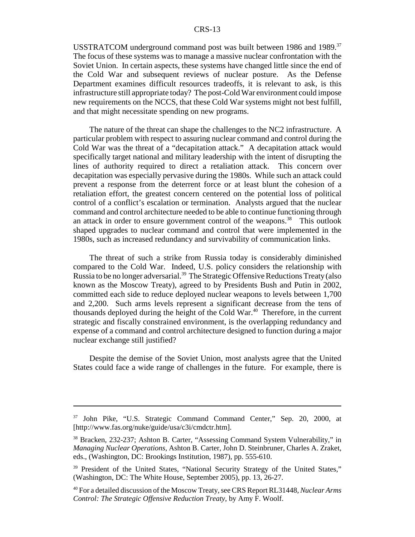USSTRATCOM underground command post was built between 1986 and 1989.<sup>37</sup> The focus of these systems was to manage a massive nuclear confrontation with the Soviet Union. In certain aspects, these systems have changed little since the end of the Cold War and subsequent reviews of nuclear posture. As the Defense Department examines difficult resources tradeoffs, it is relevant to ask, is this infrastructure still appropriate today? The post-Cold War environment could impose new requirements on the NCCS, that these Cold War systems might not best fulfill, and that might necessitate spending on new programs.

The nature of the threat can shape the challenges to the NC2 infrastructure. A particular problem with respect to assuring nuclear command and control during the Cold War was the threat of a "decapitation attack." A decapitation attack would specifically target national and military leadership with the intent of disrupting the lines of authority required to direct a retaliation attack. This concern over decapitation was especially pervasive during the 1980s. While such an attack could prevent a response from the deterrent force or at least blunt the cohesion of a retaliation effort, the greatest concern centered on the potential loss of political control of a conflict's escalation or termination. Analysts argued that the nuclear command and control architecture needed to be able to continue functioning through an attack in order to ensure government control of the weapons.<sup>38</sup> This outlook shaped upgrades to nuclear command and control that were implemented in the 1980s, such as increased redundancy and survivability of communication links.

The threat of such a strike from Russia today is considerably diminished compared to the Cold War. Indeed, U.S. policy considers the relationship with Russia to be no longer adversarial.<sup>39</sup> The Strategic Offensive Reductions Treaty (also known as the Moscow Treaty), agreed to by Presidents Bush and Putin in 2002, committed each side to reduce deployed nuclear weapons to levels between 1,700 and 2,200. Such arms levels represent a significant decrease from the tens of thousands deployed during the height of the Cold War. $40$  Therefore, in the current strategic and fiscally constrained environment, is the overlapping redundancy and expense of a command and control architecture designed to function during a major nuclear exchange still justified?

Despite the demise of the Soviet Union, most analysts agree that the United States could face a wide range of challenges in the future. For example, there is

<sup>37</sup> John Pike, "U.S. Strategic Command Command Center," Sep. 20, 2000, at [http://www.fas.org/nuke/guide/usa/c3i/cmdctr.htm].

<sup>38</sup> Bracken, 232-237; Ashton B. Carter, "Assessing Command System Vulnerability," in *Managing Nuclear Operations*, Ashton B. Carter, John D. Steinbruner, Charles A. Zraket, eds., (Washington, DC: Brookings Institution, 1987), pp. 555-610.

<sup>&</sup>lt;sup>39</sup> President of the United States, "National Security Strategy of the United States," (Washington, DC: The White House, September 2005), pp. 13, 26-27.

<sup>40</sup> For a detailed discussion of the Moscow Treaty, see CRS Report RL31448, *Nuclear Arms Control: The Strategic Offensive Reduction Treaty,* by Amy F. Woolf.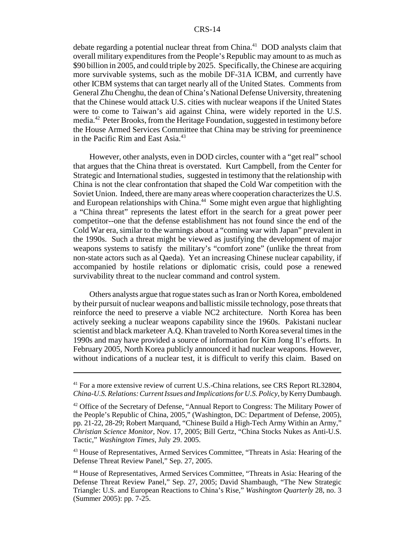debate regarding a potential nuclear threat from China.<sup>41</sup> DOD analysts claim that overall military expenditures from the People's Republic may amount to as much as \$90 billion in 2005, and could triple by 2025. Specifically, the Chinese are acquiring more survivable systems, such as the mobile DF-31A ICBM, and currently have other ICBM systems that can target nearly all of the United States. Comments from General Zhu Chenghu, the dean of China's National Defense University, threatening that the Chinese would attack U.S. cities with nuclear weapons if the United States were to come to Taiwan's aid against China, were widely reported in the U.S. media.42 Peter Brooks, from the Heritage Foundation, suggested in testimony before the House Armed Services Committee that China may be striving for preeminence in the Pacific Rim and East Asia.<sup>43</sup>

However, other analysts, even in DOD circles, counter with a "get real" school that argues that the China threat is overstated. Kurt Campbell, from the Center for Strategic and International studies, suggested in testimony that the relationship with China is not the clear confrontation that shaped the Cold War competition with the Soviet Union. Indeed, there are many areas where cooperation characterizes the U.S. and European relationships with China.<sup>44</sup> Some might even argue that highlighting a "China threat" represents the latest effort in the search for a great power peer competitor--one that the defense establishment has not found since the end of the Cold War era, similar to the warnings about a "coming war with Japan" prevalent in the 1990s. Such a threat might be viewed as justifying the development of major weapons systems to satisfy the military's "comfort zone" (unlike the threat from non-state actors such as al Qaeda). Yet an increasing Chinese nuclear capability, if accompanied by hostile relations or diplomatic crisis, could pose a renewed survivability threat to the nuclear command and control system.

Others analysts argue that rogue states such as Iran or North Korea, emboldened by their pursuit of nuclear weapons and ballistic missile technology, pose threats that reinforce the need to preserve a viable NC2 architecture. North Korea has been actively seeking a nuclear weapons capability since the 1960s. Pakistani nuclear scientist and black marketeer A.Q. Khan traveled to North Korea several times in the 1990s and may have provided a source of information for Kim Jong Il's efforts. In February 2005, North Korea publicly announced it had nuclear weapons. However, without indications of a nuclear test, it is difficult to verify this claim. Based on

<sup>&</sup>lt;sup>41</sup> For a more extensive review of current U.S.-China relations, see CRS Report RL32804, *China-U.S. Relations: Current Issues and Implications for U.S. Policy*, by Kerry Dumbaugh.

<sup>&</sup>lt;sup>42</sup> Office of the Secretary of Defense, "Annual Report to Congress: The Military Power of the People's Republic of China, 2005," (Washington, DC: Department of Defense, 2005), pp. 21-22, 28-29; Robert Marquand, "Chinese Build a High-Tech Army Within an Army," *Christian Science Monitor*, Nov. 17, 2005; Bill Gertz, "China Stocks Nukes as Anti-U.S. Tactic," *Washington Times*, July 29. 2005.

<sup>&</sup>lt;sup>43</sup> House of Representatives, Armed Services Committee, "Threats in Asia: Hearing of the Defense Threat Review Panel," Sep. 27, 2005.

<sup>44</sup> House of Representatives, Armed Services Committee, "Threats in Asia: Hearing of the Defense Threat Review Panel," Sep. 27, 2005; David Shambaugh, "The New Strategic Triangle: U.S. and European Reactions to China's Rise," *Washington Quarterly* 28, no. 3 (Summer 2005): pp. 7-25.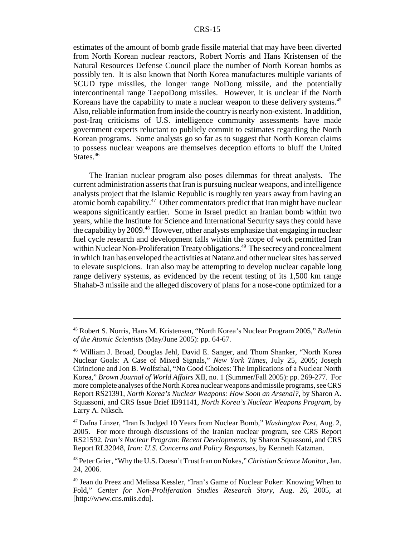estimates of the amount of bomb grade fissile material that may have been diverted from North Korean nuclear reactors, Robert Norris and Hans Kristensen of the Natural Resources Defense Council place the number of North Korean bombs as possibly ten. It is also known that North Korea manufactures multiple variants of SCUD type missiles, the longer range NoDong missile, and the potentially intercontinental range TaepoDong missiles. However, it is unclear if the North Koreans have the capability to mate a nuclear weapon to these delivery systems.<sup>45</sup> Also, reliable information from inside the country is nearly non-existent. In addition, post-Iraq criticisms of U.S. intelligence community assessments have made government experts reluctant to publicly commit to estimates regarding the North Korean programs. Some analysts go so far as to suggest that North Korean claims to possess nuclear weapons are themselves deception efforts to bluff the United States.<sup>46</sup>

The Iranian nuclear program also poses dilemmas for threat analysts. The current administration asserts that Iran is pursuing nuclear weapons, and intelligence analysts project that the Islamic Republic is roughly ten years away from having an atomic bomb capability.47 Other commentators predict that Iran might have nuclear weapons significantly earlier. Some in Israel predict an Iranian bomb within two years, while the Institute for Science and International Security says they could have the capability by 2009.<sup>48</sup> However, other analysts emphasize that engaging in nuclear fuel cycle research and development falls within the scope of work permitted Iran within Nuclear Non-Proliferation Treaty obligations.<sup>49</sup> The secrecy and concealment in which Iran has enveloped the activities at Natanz and other nuclear sites has served to elevate suspicions. Iran also may be attempting to develop nuclear capable long range delivery systems, as evidenced by the recent testing of its 1,500 km range Shahab-3 missile and the alleged discovery of plans for a nose-cone optimized for a

<sup>45</sup> Robert S. Norris, Hans M. Kristensen, "North Korea's Nuclear Program 2005," *Bulletin of the Atomic Scientists* (May/June 2005): pp. 64-67.

<sup>46</sup> William J. Broad, Douglas Jehl, David E. Sanger, and Thom Shanker, "North Korea Nuclear Goals: A Case of Mixed Signals," *New York Times*, July 25, 2005; Joseph Cirincione and Jon B. Wolfsthal, "No Good Choices: The Implications of a Nuclear North Korea," *Brown Journal of World Affairs* XII, no. 1 (Summer/Fall 2005): pp. 269-277. For more complete analyses of the North Korea nuclear weapons and missile programs, see CRS Report RS21391, *North Korea's Nuclear Weapons: How Soon an Arsenal?*, by Sharon A. Squassoni, and CRS Issue Brief IB91141, *North Korea's Nuclear Weapons Program*, by Larry A. Niksch.

<sup>47</sup> Dafna Linzer, "Iran Is Judged 10 Years from Nuclear Bomb," *Washington Post*, Aug. 2, 2005. For more through discussions of the Iranian nuclear program, see CRS Report RS21592, *Iran's Nuclear Program: Recent Developments*, by Sharon Squassoni, and CRS Report RL32048, *Iran: U.S. Concerns and Policy Responses*, by Kenneth Katzman.

<sup>48</sup> Peter Grier, "Why the U.S. Doesn't Trust Iran on Nukes," *Christian Science Monitor*, Jan. 24, 2006.

<sup>49</sup> Jean du Preez and Melissa Kessler, "Iran's Game of Nuclear Poker: Knowing When to Fold," *Center for Non-Proliferation Studies Research Story*, Aug. 26, 2005, at [http://www.cns.miis.edu].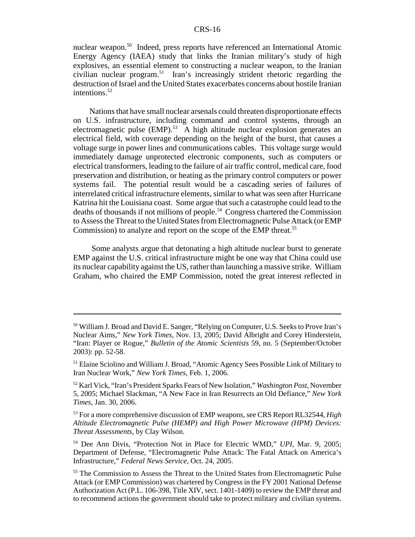nuclear weapon.<sup>50</sup> Indeed, press reports have referenced an International Atomic Energy Agency (IAEA) study that links the Iranian military's study of high explosives, an essential element to constructing a nuclear weapon, to the Iranian civilian nuclear program.51 Iran's increasingly strident rhetoric regarding the destruction of Israel and the United States exacerbates concerns about hostile Iranian intentions. $52$ 

Nations that have small nuclear arsenals could threaten disproportionate effects on U.S. infrastructure, including command and control systems, through an electromagnetic pulse  $(EMP)$ <sup>53</sup> A high altitude nuclear explosion generates an electrical field, with coverage depending on the height of the burst, that causes a voltage surge in power lines and communications cables. This voltage surge would immediately damage unprotected electronic components, such as computers or electrical transformers, leading to the failure of air traffic control, medical care, food preservation and distribution, or heating as the primary control computers or power systems fail. The potential result would be a cascading series of failures of interrelated critical infrastructure elements, similar to what was seen after Hurricane Katrina hit the Louisiana coast. Some argue that such a catastrophe could lead to the deaths of thousands if not millions of people.54 Congress chartered the Commission to Assess the Threat to the United States from Electromagnetic Pulse Attack (or EMP Commission) to analyze and report on the scope of the EMP threat.<sup>55</sup>

 Some analysts argue that detonating a high altitude nuclear burst to generate EMP against the U.S. critical infrastructure might be one way that China could use its nuclear capability against the US, rather than launching a massive strike. William Graham, who chaired the EMP Commission, noted the great interest reflected in

<sup>&</sup>lt;sup>50</sup> William J. Broad and David E. Sanger, "Relying on Computer, U.S. Seeks to Prove Iran's Nuclear Aims," *New York Times*, Nov. 13, 2005; David Albright and Corey Hinderstein, "Iran: Player or Rogue," *Bulletin of the Atomic Scientists* 59, no. 5 (September/October 2003): pp. 52-58.

<sup>&</sup>lt;sup>51</sup> Elaine Sciolino and William J. Broad, "Atomic Agency Sees Possible Link of Military to Iran Nuclear Work," *New York Times*, Feb. 1, 2006.

<sup>52</sup> Karl Vick, "Iran's President Sparks Fears of New Isolation," *Washington Post*, November 5, 2005; Michael Slackman, "A New Face in Iran Resurrects an Old Defiance," *New York Times*, Jan. 30, 2006.

<sup>53</sup> For a more comprehensive discussion of EMP weapons, see CRS Report RL32544, *High Altitude Electromagnetic Pulse (HEMP) and High Power Microwave (HPM) Devices: Threat Assessments*, by Clay Wilson.

<sup>54</sup> Dee Ann Divis, "Protection Not in Place for Electric WMD," *UPI*, Mar. 9, 2005; Department of Defense, "Electromagnetic Pulse Attack: The Fatal Attack on America's Infrastructure," *Federal News Service*, Oct. 24, 2005.

<sup>&</sup>lt;sup>55</sup> The Commission to Assess the Threat to the United States from Electromagnetic Pulse Attack (or EMP Commission) was chartered by Congress in the FY 2001 National Defense Authorization Act (P.L. 106-398, Title XIV, sect. 1401-1409) to review the EMP threat and to recommend actions the government should take to protect military and civilian systems.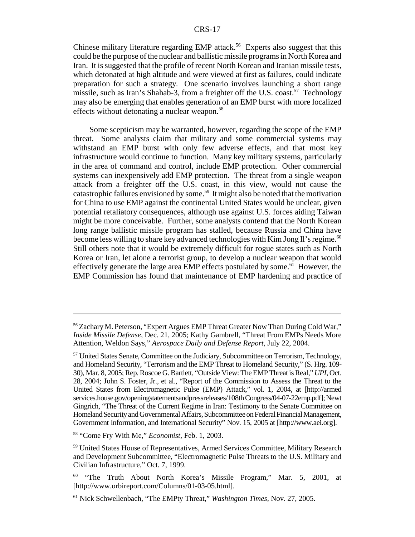Chinese military literature regarding EMP attack.<sup>56</sup> Experts also suggest that this could be the purpose of the nuclear and ballistic missile programs in North Korea and Iran. It is suggested that the profile of recent North Korean and Iranian missile tests, which detonated at high altitude and were viewed at first as failures, could indicate preparation for such a strategy. One scenario involves launching a short range missile, such as Iran's Shahab-3, from a freighter off the U.S. coast.<sup>57</sup> Technology may also be emerging that enables generation of an EMP burst with more localized effects without detonating a nuclear weapon.<sup>58</sup>

Some scepticism may be warranted, however, regarding the scope of the EMP threat. Some analysts claim that military and some commercial systems may withstand an EMP burst with only few adverse effects, and that most key infrastructure would continue to function. Many key military systems, particularly in the area of command and control, include EMP protection. Other commercial systems can inexpensively add EMP protection. The threat from a single weapon attack from a freighter off the U.S. coast, in this view, would not cause the catastrophic failures envisioned by some.<sup>59</sup> It might also be noted that the motivation for China to use EMP against the continental United States would be unclear, given potential retaliatory consequences, although use against U.S. forces aiding Taiwan might be more conceivable. Further, some analysts contend that the North Korean long range ballistic missile program has stalled, because Russia and China have become less willing to share key advanced technologies with Kim Jong II's regime.<sup>60</sup> Still others note that it would be extremely difficult for rogue states such as North Korea or Iran, let alone a terrorist group, to develop a nuclear weapon that would effectively generate the large area EMP effects postulated by some.<sup>61</sup> However, the EMP Commission has found that maintenance of EMP hardening and practice of

<sup>56</sup> Zachary M. Peterson, "Expert Argues EMP Threat Greater Now Than During Cold War," *Inside Missile Defense*, Dec. 21, 2005; Kathy Gambrell, "Threat From EMPs Needs More Attention, Weldon Says," *Aerospace Daily and Defense Report*, July 22, 2004.

<sup>&</sup>lt;sup>57</sup> United States Senate, Committee on the Judiciary, Subcommittee on Terrorism, Technology, and Homeland Security, "Terrorism and the EMP Threat to Homeland Security," (S. Hrg. 109- 30), Mar. 8, 2005; Rep. Roscoe G. Bartlett, "Outside View: The EMP Threat is Real," *UPI*, Oct. 28, 2004; John S. Foster, Jr., et al., "Report of the Commission to Assess the Threat to the United States from Electromagnetic Pulse (EMP) Attack," vol. 1, 2004, at [http://armed services.house.gov/openingstatementsandpressreleases/108th Congress/04-07-22emp.pdf]; Newt Gingrich, "The Threat of the Current Regime in Iran: Testimony to the Senate Committee on Homeland Security and Governmental Affairs, Subcommittee on Federal Financial Management, Government Information, and International Security" Nov. 15, 2005 at [http://www.aei.org].

<sup>58 &</sup>quot;Come Fry With Me," *Economist*, Feb. 1, 2003.

<sup>59</sup> United States House of Representatives, Armed Services Committee, Military Research and Development Subcommittee, "Electromagnetic Pulse Threats to the U.S. Military and Civilian Infrastructure," Oct. 7, 1999.

<sup>&</sup>lt;sup>60</sup> "The Truth About North Korea's Missile Program," Mar. 5, 2001, at [http://www.orbireport.com/Columns/01-03-05.html].

<sup>61</sup> Nick Schwellenbach, "The EMPty Threat," *Washington Times*, Nov. 27, 2005.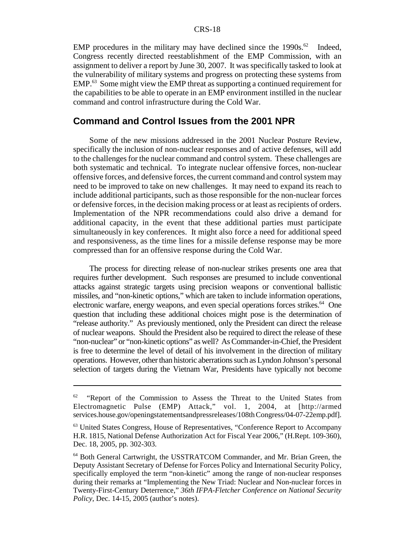EMP procedures in the military may have declined since the  $1990s^{62}$  Indeed, Congress recently directed reestablishment of the EMP Commission, with an assignment to deliver a report by June 30, 2007. It was specifically tasked to look at the vulnerability of military systems and progress on protecting these systems from  $EMP<sup>63</sup>$  Some might view the EMP threat as supporting a continued requirement for the capabilities to be able to operate in an EMP environment instilled in the nuclear command and control infrastructure during the Cold War.

#### **Command and Control Issues from the 2001 NPR**

Some of the new missions addressed in the 2001 Nuclear Posture Review, specifically the inclusion of non-nuclear responses and of active defenses, will add to the challenges for the nuclear command and control system. These challenges are both systematic and technical. To integrate nuclear offensive forces, non-nuclear offensive forces, and defensive forces, the current command and control system may need to be improved to take on new challenges. It may need to expand its reach to include additional participants, such as those responsible for the non-nuclear forces or defensive forces, in the decision making process or at least as recipients of orders. Implementation of the NPR recommendations could also drive a demand for additional capacity, in the event that these additional parties must participate simultaneously in key conferences. It might also force a need for additional speed and responsiveness, as the time lines for a missile defense response may be more compressed than for an offensive response during the Cold War.

The process for directing release of non-nuclear strikes presents one area that requires further development. Such responses are presumed to include conventional attacks against strategic targets using precision weapons or conventional ballistic missiles, and "non-kinetic options," which are taken to include information operations, electronic warfare, energy weapons, and even special operations forces strikes.<sup>64</sup> One question that including these additional choices might pose is the determination of "release authority." As previously mentioned, only the President can direct the release of nuclear weapons. Should the President also be required to direct the release of these "non-nuclear" or "non-kinetic options" as well? As Commander-in-Chief, the President is free to determine the level of detail of his involvement in the direction of military operations. However, other than historic aberrations such as Lyndon Johnson's personal selection of targets during the Vietnam War, Presidents have typically not become

<sup>&</sup>quot;Report of the Commission to Assess the Threat to the United States from Electromagnetic Pulse (EMP) Attack," vol. 1, 2004, at [http://armed services.house.gov/openingstatementsandpressreleases/108th Congress/04-07-22emp.pdf].

<sup>63</sup> United States Congress, House of Representatives, "Conference Report to Accompany H.R. 1815, National Defense Authorization Act for Fiscal Year 2006," (H.Rept. 109-360), Dec. 18, 2005, pp. 302-303.

<sup>64</sup> Both General Cartwright, the USSTRATCOM Commander, and Mr. Brian Green, the Deputy Assistant Secretary of Defense for Forces Policy and International Security Policy, specifically employed the term "non-kinetic" among the range of non-nuclear responses during their remarks at "Implementing the New Triad: Nuclear and Non-nuclear forces in Twenty-First-Century Deterrence," *36th IFPA-Fletcher Conference on National Security Policy*, Dec. 14-15, 2005 (author's notes).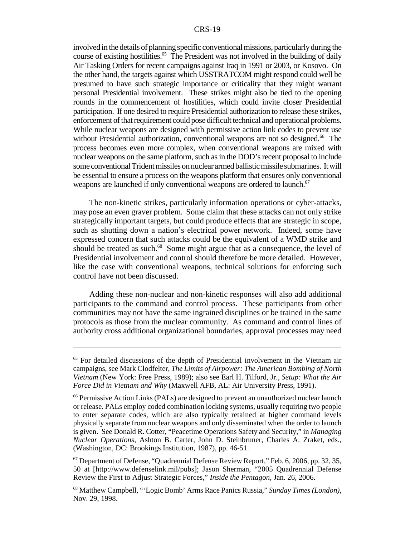involved in the details of planning specific conventional missions, particularly during the course of existing hostilities.<sup>65</sup> The President was not involved in the building of daily Air Tasking Orders for recent campaigns against Iraq in 1991 or 2003, or Kosovo. On the other hand, the targets against which USSTRATCOM might respond could well be presumed to have such strategic importance or criticality that they might warrant personal Presidential involvement. These strikes might also be tied to the opening rounds in the commencement of hostilities, which could invite closer Presidential participation. If one desired to require Presidential authorization to release these strikes, enforcement of that requirement could pose difficult technical and operational problems. While nuclear weapons are designed with permissive action link codes to prevent use without Presidential authorization, conventional weapons are not so designed.<sup>66</sup> The process becomes even more complex, when conventional weapons are mixed with nuclear weapons on the same platform, such as in the DOD's recent proposal to include some conventional Trident missiles on nuclear armed ballistic missile submarines. It will be essential to ensure a process on the weapons platform that ensures only conventional weapons are launched if only conventional weapons are ordered to launch.<sup>67</sup>

The non-kinetic strikes, particularly information operations or cyber-attacks, may pose an even graver problem. Some claim that these attacks can not only strike strategically important targets, but could produce effects that are strategic in scope, such as shutting down a nation's electrical power network. Indeed, some have expressed concern that such attacks could be the equivalent of a WMD strike and should be treated as such.<sup>68</sup> Some might argue that as a consequence, the level of Presidential involvement and control should therefore be more detailed. However, like the case with conventional weapons, technical solutions for enforcing such control have not been discussed.

Adding these non-nuclear and non-kinetic responses will also add additional participants to the command and control process. These participants from other communities may not have the same ingrained disciplines or be trained in the same protocols as those from the nuclear community. As command and control lines of authority cross additional organizational boundaries, approval processes may need

<sup>&</sup>lt;sup>65</sup> For detailed discussions of the depth of Presidential involvement in the Vietnam air campaigns, see Mark Clodfelter, *The Limits of Airpower: The American Bombing of North Vietnam* (New York: Free Press, 1989); also see Earl H. Tilford, Jr., *Setup: What the Air Force Did in Vietnam and Why* (Maxwell AFB, AL: Air University Press, 1991).

<sup>66</sup> Permissive Action Links (PALs) are designed to prevent an unauthorized nuclear launch or release. PALs employ coded combination locking systems, usually requiring two people to enter separate codes, which are also typically retained at higher command levels physically separate from nuclear weapons and only disseminated when the order to launch is given. See Donald R. Cotter, "Peacetime Operations Safety and Security," in *Managing Nuclear Operations*, Ashton B. Carter, John D. Steinbruner, Charles A. Zraket, eds., (Washington, DC: Brookings Institution, 1987), pp. 46-51.

<sup>67</sup> Department of Defense, "Quadrennial Defense Review Report," Feb. 6, 2006, pp. 32, 35, 50 at [http://www.defenselink.mil/pubs]; Jason Sherman, "2005 Quadrennial Defense Review the First to Adjust Strategic Forces," *Inside the Pentagon*, Jan. 26, 2006.

<sup>68</sup> Matthew Campbell, "'Logic Bomb' Arms Race Panics Russia," *Sunday Times (London)*, Nov. 29, 1998.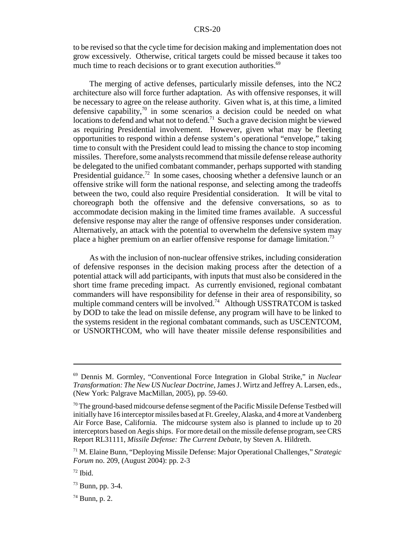to be revised so that the cycle time for decision making and implementation does not grow excessively. Otherwise, critical targets could be missed because it takes too much time to reach decisions or to grant execution authorities.<sup>69</sup>

The merging of active defenses, particularly missile defenses, into the NC2 architecture also will force further adaptation. As with offensive responses, it will be necessary to agree on the release authority. Given what is, at this time, a limited defensive capability, $70$  in some scenarios a decision could be needed on what locations to defend and what not to defend.<sup>71</sup> Such a grave decision might be viewed as requiring Presidential involvement. However, given what may be fleeting opportunities to respond within a defense system's operational "envelope," taking time to consult with the President could lead to missing the chance to stop incoming missiles. Therefore, some analysts recommend that missile defense release authority be delegated to the unified combatant commander, perhaps supported with standing Presidential guidance.<sup>72</sup> In some cases, choosing whether a defensive launch or an offensive strike will form the national response, and selecting among the tradeoffs between the two, could also require Presidential consideration. It will be vital to choreograph both the offensive and the defensive conversations, so as to accommodate decision making in the limited time frames available. A successful defensive response may alter the range of offensive responses under consideration. Alternatively, an attack with the potential to overwhelm the defensive system may place a higher premium on an earlier offensive response for damage limitation.<sup>73</sup>

As with the inclusion of non-nuclear offensive strikes, including consideration of defensive responses in the decision making process after the detection of a potential attack will add participants, with inputs that must also be considered in the short time frame preceding impact. As currently envisioned, regional combatant commanders will have responsibility for defense in their area of responsibility, so multiple command centers will be involved.<sup>74</sup> Although USSTRATCOM is tasked by DOD to take the lead on missile defense, any program will have to be linked to the systems resident in the regional combatant commands, such as USCENTCOM, or USNORTHCOM, who will have theater missile defense responsibilities and

<sup>69</sup> Dennis M. Gormley, "Conventional Force Integration in Global Strike," in *Nuclear Transformation: The New US Nuclear Doctrine*, James J. Wirtz and Jeffrey A. Larsen, eds., (New York: Palgrave MacMillan, 2005), pp. 59-60.

 $70$  The ground-based midcourse defense segment of the Pacific Missile Defense Testbed will initially have 16 interceptor missiles based at Ft. Greeley, Alaska, and 4 more at Vandenberg Air Force Base, California. The midcourse system also is planned to include up to 20 interceptors based on Aegis ships. For more detail on the missile defense program, see CRS Report RL31111, *Missile Defense: The Current Debate*, by Steven A. Hildreth.

<sup>71</sup> M. Elaine Bunn, "Deploying Missile Defense: Major Operational Challenges," *Strategic Forum* no. 209, (August 2004): pp. 2-3

 $72$  Ibid.

 $73$  Bunn, pp. 3-4.

 $74$  Bunn, p. 2.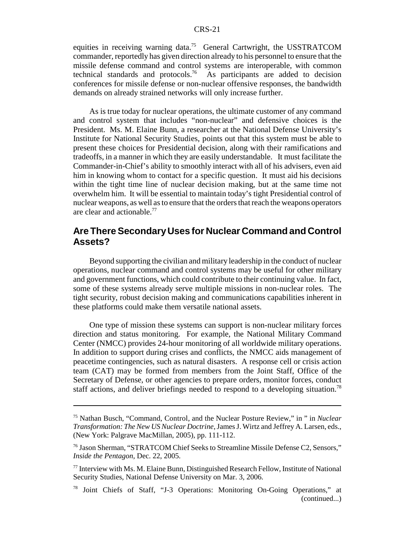equities in receiving warning data.<sup>75</sup> General Cartwright, the USSTRATCOM commander, reportedly has given direction already to his personnel to ensure that the missile defense command and control systems are interoperable, with common technical standards and protocols.76 As participants are added to decision conferences for missile defense or non-nuclear offensive responses, the bandwidth demands on already strained networks will only increase further.

As is true today for nuclear operations, the ultimate customer of any command and control system that includes "non-nuclear" and defensive choices is the President. Ms. M. Elaine Bunn, a researcher at the National Defense University's Institute for National Security Studies, points out that this system must be able to present these choices for Presidential decision, along with their ramifications and tradeoffs, in a manner in which they are easily understandable. It must facilitate the Commander-in-Chief's ability to smoothly interact with all of his advisers, even aid him in knowing whom to contact for a specific question. It must aid his decisions within the tight time line of nuclear decision making, but at the same time not overwhelm him. It will be essential to maintain today's tight Presidential control of nuclear weapons, as well as to ensure that the orders that reach the weapons operators are clear and actionable.<sup>77</sup>

# **Are There Secondary Uses for Nuclear Command and Control Assets?**

Beyond supporting the civilian and military leadership in the conduct of nuclear operations, nuclear command and control systems may be useful for other military and government functions, which could contribute to their continuing value. In fact, some of these systems already serve multiple missions in non-nuclear roles. The tight security, robust decision making and communications capabilities inherent in these platforms could make them versatile national assets.

One type of mission these systems can support is non-nuclear military forces direction and status monitoring. For example, the National Military Command Center (NMCC) provides 24-hour monitoring of all worldwide military operations. In addition to support during crises and conflicts, the NMCC aids management of peacetime contingencies, such as natural disasters. A response cell or crisis action team (CAT) may be formed from members from the Joint Staff, Office of the Secretary of Defense, or other agencies to prepare orders, monitor forces, conduct staff actions, and deliver briefings needed to respond to a developing situation.<sup>78</sup>

<sup>75</sup> Nathan Busch, "Command, Control, and the Nuclear Posture Review," in " in *Nuclear Transformation: The New US Nuclear Doctrine*, James J. Wirtz and Jeffrey A. Larsen, eds., (New York: Palgrave MacMillan, 2005), pp. 111-112.

<sup>76</sup> Jason Sherman, "STRATCOM Chief Seeks to Streamline Missile Defense C2, Sensors," *Inside the Pentagon*, Dec. 22, 2005.

<sup>77</sup> Interview with Ms. M. Elaine Bunn, Distinguished Research Fellow, Institute of National Security Studies, National Defense University on Mar. 3, 2006.

<sup>78</sup> Joint Chiefs of Staff, "J-3 Operations: Monitoring On-Going Operations," at (continued...)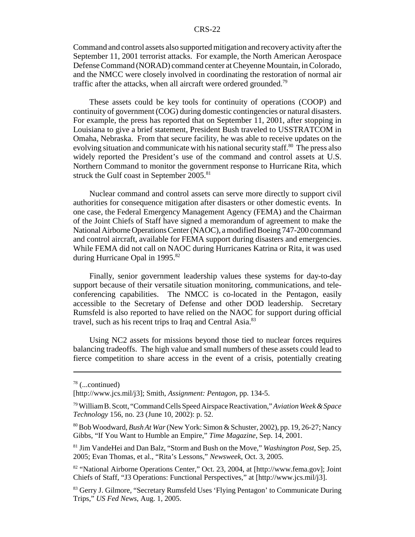Command and control assets also supported mitigation and recovery activity after the September 11, 2001 terrorist attacks. For example, the North American Aerospace Defense Command (NORAD) command center at Cheyenne Mountain, in Colorado, and the NMCC were closely involved in coordinating the restoration of normal air traffic after the attacks, when all aircraft were ordered grounded.<sup>79</sup>

These assets could be key tools for continuity of operations (COOP) and continuity of government (COG) during domestic contingencies or natural disasters. For example, the press has reported that on September 11, 2001, after stopping in Louisiana to give a brief statement, President Bush traveled to USSTRATCOM in Omaha, Nebraska. From that secure facility, he was able to receive updates on the evolving situation and communicate with his national security staff.<sup>80</sup> The press also widely reported the President's use of the command and control assets at U.S. Northern Command to monitor the government response to Hurricane Rita, which struck the Gulf coast in September 2005.<sup>81</sup>

Nuclear command and control assets can serve more directly to support civil authorities for consequence mitigation after disasters or other domestic events. In one case, the Federal Emergency Management Agency (FEMA) and the Chairman of the Joint Chiefs of Staff have signed a memorandum of agreement to make the National Airborne Operations Center (NAOC), a modified Boeing 747-200 command and control aircraft, available for FEMA support during disasters and emergencies. While FEMA did not call on NAOC during Hurricanes Katrina or Rita, it was used during Hurricane Opal in  $1995.^{82}$ 

Finally, senior government leadership values these systems for day-to-day support because of their versatile situation monitoring, communications, and teleconferencing capabilities. The NMCC is co-located in the Pentagon, easily accessible to the Secretary of Defense and other DOD leadership. Secretary Rumsfeld is also reported to have relied on the NAOC for support during official travel, such as his recent trips to Iraq and Central Asia.<sup>83</sup>

Using NC2 assets for missions beyond those tied to nuclear forces requires balancing tradeoffs. The high value and small numbers of these assets could lead to fierce competition to share access in the event of a crisis, potentially creating

<sup>78 (...</sup>continued)

<sup>[</sup>http://www.jcs.mil/j3]; Smith, *Assignment: Pentagon*, pp. 134-5.

<sup>79</sup> William B. Scott, "Command Cells Speed Airspace Reactivation," *Aviation Week & Space Technology* 156, no. 23 (June 10, 2002): p. 52.

<sup>80</sup> Bob Woodward, *Bush At War* (New York: Simon & Schuster, 2002), pp. 19, 26-27; Nancy Gibbs, "If You Want to Humble an Empire," *Time Magazine*, Sep. 14, 2001.

<sup>81</sup> Jim VandeHei and Dan Balz, "Storm and Bush on the Move," *Washington Post*, Sep. 25, 2005; Evan Thomas, et al., "Rita's Lessons," *Newsweek*, Oct. 3, 2005.

<sup>82 &</sup>quot;National Airborne Operations Center," Oct. 23, 2004, at [http://www.fema.gov]; Joint Chiefs of Staff, "J3 Operations: Functional Perspectives," at [http://www.jcs.mil/j3].

<sup>83</sup> Gerry J. Gilmore, "Secretary Rumsfeld Uses 'Flying Pentagon' to Communicate During Trips," *US Fed News*, Aug. 1, 2005.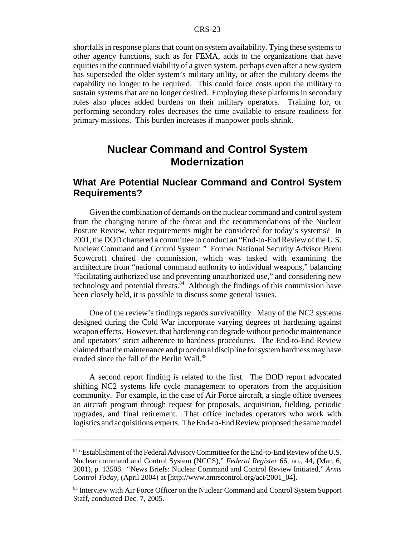shortfalls in response plans that count on system availability. Tying these systems to other agency functions, such as for FEMA, adds to the organizations that have equities in the continued viability of a given system, perhaps even after a new system has superseded the older system's military utility, or after the military deems the capability no longer to be required. This could force costs upon the military to sustain systems that are no longer desired. Employing these platforms in secondary roles also places added burdens on their military operators. Training for, or performing secondary roles decreases the time available to ensure readiness for primary missions. This burden increases if manpower pools shrink.

# **Nuclear Command and Control System Modernization**

### **What Are Potential Nuclear Command and Control System Requirements?**

Given the combination of demands on the nuclear command and control system from the changing nature of the threat and the recommendations of the Nuclear Posture Review, what requirements might be considered for today's systems? In 2001, the DOD chartered a committee to conduct an "End-to-End Review of the U.S. Nuclear Command and Control System." Former National Security Advisor Brent Scowcroft chaired the commission, which was tasked with examining the architecture from "national command authority to individual weapons," balancing "facilitating authorized use and preventing unauthorized use," and considering new technology and potential threats.<sup>84</sup> Although the findings of this commission have been closely held, it is possible to discuss some general issues.

One of the review's findings regards survivability. Many of the NC2 systems designed during the Cold War incorporate varying degrees of hardening against weapon effects. However, that hardening can degrade without periodic maintenance and operators' strict adherence to hardness procedures. The End-to-End Review claimed that the maintenance and procedural discipline for system hardness may have eroded since the fall of the Berlin Wall.<sup>85</sup>

A second report finding is related to the first. The DOD report advocated shifting NC2 systems life cycle management to operators from the acquisition community. For example, in the case of Air Force aircraft, a single office oversees an aircraft program through request for proposals, acquisition, fielding, periodic upgrades, and final retirement. That office includes operators who work with logistics and acquisitions experts. The End-to-End Review proposed the same model

<sup>&</sup>lt;sup>84</sup> "Establishment of the Federal Advisory Committee for the End-to-End Review of the U.S. Nuclear command and Control System (NCCS)," *Federal Register* 66, no., 44, (Mar. 6, 2001), p. 13508. "News Briefs: Nuclear Command and Control Review Initiated," *Arms Control Today*, (April 2004) at [http://www.amrscontrol.org/act/2001\_04].

<sup>&</sup>lt;sup>85</sup> Interview with Air Force Officer on the Nuclear Command and Control System Support Staff, conducted Dec. 7, 2005.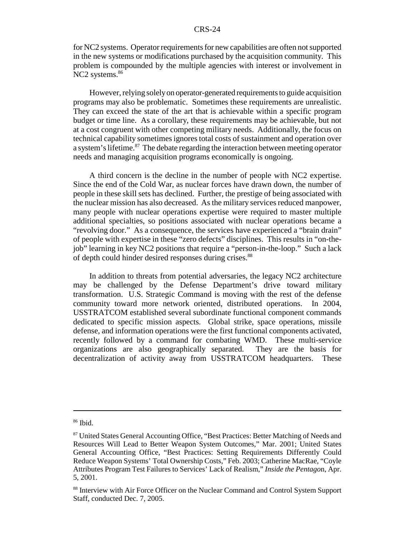for NC2 systems. Operator requirements for new capabilities are often not supported in the new systems or modifications purchased by the acquisition community. This problem is compounded by the multiple agencies with interest or involvement in NC2 systems.<sup>86</sup>

However, relying solely on operator-generated requirements to guide acquisition programs may also be problematic. Sometimes these requirements are unrealistic. They can exceed the state of the art that is achievable within a specific program budget or time line. As a corollary, these requirements may be achievable, but not at a cost congruent with other competing military needs. Additionally, the focus on technical capability sometimes ignores total costs of sustainment and operation over a system's lifetime.<sup>87</sup> The debate regarding the interaction between meeting operator needs and managing acquisition programs economically is ongoing.

A third concern is the decline in the number of people with NC2 expertise. Since the end of the Cold War, as nuclear forces have drawn down, the number of people in these skill sets has declined. Further, the prestige of being associated with the nuclear mission has also decreased. As the military services reduced manpower, many people with nuclear operations expertise were required to master multiple additional specialties, so positions associated with nuclear operations became a "revolving door." As a consequence, the services have experienced a "brain drain" of people with expertise in these "zero defects" disciplines. This results in "on-thejob" learning in key NC2 positions that require a "person-in-the-loop." Such a lack of depth could hinder desired responses during crises.<sup>88</sup>

In addition to threats from potential adversaries, the legacy NC2 architecture may be challenged by the Defense Department's drive toward military transformation. U.S. Strategic Command is moving with the rest of the defense community toward more network oriented, distributed operations. In 2004, USSTRATCOM established several subordinate functional component commands dedicated to specific mission aspects. Global strike, space operations, missile defense, and information operations were the first functional components activated, recently followed by a command for combating WMD. These multi-service organizations are also geographically separated. They are the basis for decentralization of activity away from USSTRATCOM headquarters. These

<sup>86</sup> Ibid.

<sup>&</sup>lt;sup>87</sup> United States General Accounting Office, "Best Practices: Better Matching of Needs and Resources Will Lead to Better Weapon System Outcomes," Mar. 2001; United States General Accounting Office, "Best Practices: Setting Requirements Differently Could Reduce Weapon Systems' Total Ownership Costs," Feb. 2003; Catherine MacRae, "Coyle Attributes Program Test Failures to Services' Lack of Realism," *Inside the Pentago*n, Apr. 5, 2001.

<sup>88</sup> Interview with Air Force Officer on the Nuclear Command and Control System Support Staff, conducted Dec. 7, 2005.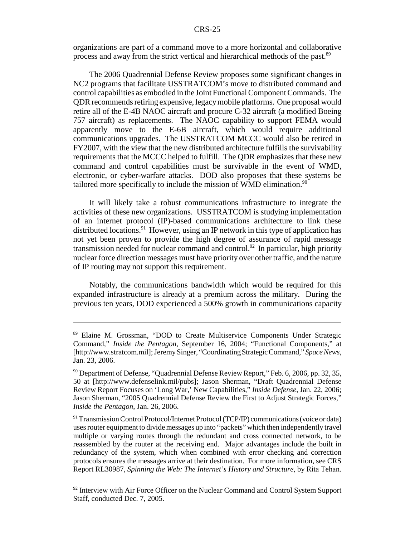organizations are part of a command move to a more horizontal and collaborative process and away from the strict vertical and hierarchical methods of the past.89

The 2006 Quadrennial Defense Review proposes some significant changes in NC2 programs that facilitate USSTRATCOM's move to distributed command and control capabilities as embodied in the Joint Functional Component Commands. The QDR recommends retiring expensive, legacy mobile platforms. One proposal would retire all of the E-4B NAOC aircraft and procure C-32 aircraft (a modified Boeing 757 aircraft) as replacements. The NAOC capability to support FEMA would apparently move to the E-6B aircraft, which would require additional communications upgrades. The USSTRATCOM MCCC would also be retired in FY2007, with the view that the new distributed architecture fulfills the survivability requirements that the MCCC helped to fulfill. The QDR emphasizes that these new command and control capabilities must be survivable in the event of WMD, electronic, or cyber-warfare attacks. DOD also proposes that these systems be tailored more specifically to include the mission of WMD elimination.<sup>90</sup>

It will likely take a robust communications infrastructure to integrate the activities of these new organizations. USSTRATCOM is studying implementation of an internet protocol (IP)-based communications architecture to link these distributed locations.<sup>91</sup> However, using an IP network in this type of application has not yet been proven to provide the high degree of assurance of rapid message transmission needed for nuclear command and control.<sup>92</sup> In particular, high priority nuclear force direction messages must have priority over other traffic, and the nature of IP routing may not support this requirement.

Notably, the communications bandwidth which would be required for this expanded infrastructure is already at a premium across the military. During the previous ten years, DOD experienced a 500% growth in communications capacity

<sup>89</sup> Elaine M. Grossman, "DOD to Create Multiservice Components Under Strategic Command," *Inside the Pentagon*, September 16, 2004; "Functional Components," at [http://www.stratcom.mil]; Jeremy Singer, "Coordinating Strategic Command," *Space News*, Jan. 23, 2006.

<sup>&</sup>lt;sup>90</sup> Department of Defense, "Quadrennial Defense Review Report," Feb. 6, 2006, pp. 32, 35, 50 at [http://www.defenselink.mil/pubs]; Jason Sherman, "Draft Quadrennial Defense Review Report Focuses on 'Long War,' New Capabilities," *Inside Defense*, Jan. 22, 2006; Jason Sherman, "2005 Quadrennial Defense Review the First to Adjust Strategic Forces," *Inside the Pentagon*, Jan. 26, 2006.

<sup>91</sup> Transmission Control Protocol/Internet Protocol (TCP/IP) communications (voice or data) uses router equipment to divide messages up into "packets" which then independently travel multiple or varying routes through the redundant and cross connected network, to be reassembled by the router at the receiving end. Major advantages include the built in redundancy of the system, which when combined with error checking and correction protocols ensures the messages arrive at their destination. For more information, see CRS Report RL30987, *Spinning the Web: The Internet's History and Structure*, by Rita Tehan.

<sup>&</sup>lt;sup>92</sup> Interview with Air Force Officer on the Nuclear Command and Control System Support Staff, conducted Dec. 7, 2005.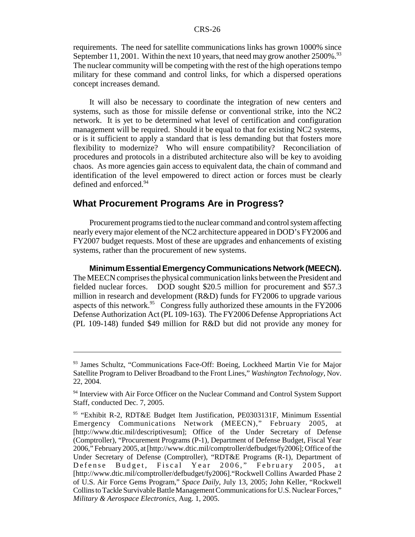requirements. The need for satellite communications links has grown 1000% since September 11, 2001. Within the next 10 years, that need may grow another  $2500\%$ .<sup>93</sup> The nuclear community will be competing with the rest of the high operations tempo military for these command and control links, for which a dispersed operations concept increases demand.

It will also be necessary to coordinate the integration of new centers and systems, such as those for missile defense or conventional strike, into the NC2 network. It is yet to be determined what level of certification and configuration management will be required. Should it be equal to that for existing NC2 systems, or is it sufficient to apply a standard that is less demanding but that fosters more flexibility to modernize? Who will ensure compatibility? Reconciliation of procedures and protocols in a distributed architecture also will be key to avoiding chaos. As more agencies gain access to equivalent data, the chain of command and identification of the level empowered to direct action or forces must be clearly defined and enforced.<sup>94</sup>

# **What Procurement Programs Are in Progress?**

Procurement programs tied to the nuclear command and control system affecting nearly every major element of the NC2 architecture appeared in DOD's FY2006 and FY2007 budget requests. Most of these are upgrades and enhancements of existing systems, rather than the procurement of new systems.

**Minimum Essential Emergency Communications Network (MEECN).** The MEECN comprises the physical communication links between the President and fielded nuclear forces. DOD sought \$20.5 million for procurement and \$57.3 million in research and development (R&D) funds for FY2006 to upgrade various aspects of this network.<sup>95</sup> Congress fully authorized these amounts in the FY2006 Defense Authorization Act (PL 109-163). The FY2006 Defense Appropriations Act (PL 109-148) funded \$49 million for R&D but did not provide any money for

<sup>&</sup>lt;sup>93</sup> James Schultz, "Communications Face-Off: Boeing, Lockheed Martin Vie for Major Satellite Program to Deliver Broadband to the Front Lines," *Washington Technology*, Nov. 22, 2004.

<sup>&</sup>lt;sup>94</sup> Interview with Air Force Officer on the Nuclear Command and Control System Support Staff, conducted Dec. 7, 2005.

<sup>95 &</sup>quot;Exhibit R-2, RDT&E Budget Item Justification, PE0303131F, Minimum Essential Emergency Communications Network (MEECN)," February 2005, at [http://www.dtic.mil/descriptivesum]; Office of the Under Secretary of Defense (Comptroller), "Procurement Programs (P-1), Department of Defense Budget, Fiscal Year 2006," February 2005, at [http://www.dtic.mil/comptroller/defbudget/fy2006]; Office of the Under Secretary of Defense (Comptroller), "RDT&E Programs (R-1), Department of Defense Budget, Fiscal Year 2006," February 2005, at [http://www.dtic.mil/comptroller/defbudget/fy2006]."Rockwell Collins Awarded Phase 2 of U.S. Air Force Gems Program," *Space Daily*, July 13, 2005; John Keller, "Rockwell Collins to Tackle Survivable Battle Management Communications for U.S. Nuclear Forces," *Military & Aerospace Electronics*, Aug. 1, 2005.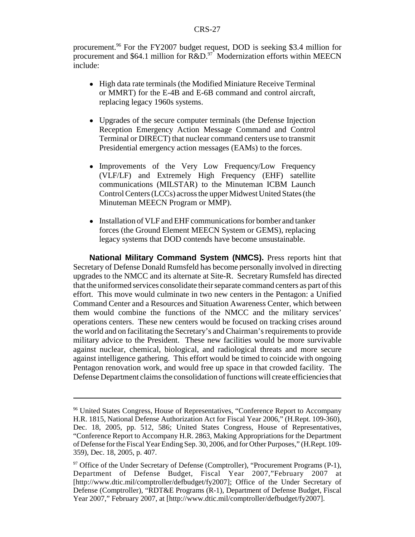procurement.<sup>96</sup> For the FY2007 budget request, DOD is seeking \$3.4 million for procurement and \$64.1 million for  $R&D.<sup>97</sup>$  Modernization efforts within MEECN include:

- High data rate terminals (the Modified Miniature Receive Terminal or MMRT) for the E-4B and E-6B command and control aircraft, replacing legacy 1960s systems.
- Upgrades of the secure computer terminals (the Defense Injection Reception Emergency Action Message Command and Control Terminal or DIRECT) that nuclear command centers use to transmit Presidential emergency action messages (EAMs) to the forces.
- Improvements of the Very Low Frequency/Low Frequency (VLF/LF) and Extremely High Frequency (EHF) satellite communications (MILSTAR) to the Minuteman ICBM Launch Control Centers (LCCs) across the upper Midwest United States (the Minuteman MEECN Program or MMP).
- Installation of VLF and EHF communications for bomber and tanker forces (the Ground Element MEECN System or GEMS), replacing legacy systems that DOD contends have become unsustainable.

**National Military Command System (NMCS).** Press reports hint that Secretary of Defense Donald Rumsfeld has become personally involved in directing upgrades to the NMCC and its alternate at Site-R. Secretary Rumsfeld has directed that the uniformed services consolidate their separate command centers as part of this effort. This move would culminate in two new centers in the Pentagon: a Unified Command Center and a Resources and Situation Awareness Center, which between them would combine the functions of the NMCC and the military services' operations centers. These new centers would be focused on tracking crises around the world and on facilitating the Secretary's and Chairman's requirements to provide military advice to the President. These new facilities would be more survivable against nuclear, chemical, biological, and radiological threats and more secure against intelligence gathering. This effort would be timed to coincide with ongoing Pentagon renovation work, and would free up space in that crowded facility. The Defense Department claims the consolidation of functions will create efficiencies that

<sup>&</sup>lt;sup>96</sup> United States Congress, House of Representatives, "Conference Report to Accompany H.R. 1815, National Defense Authorization Act for Fiscal Year 2006," (H.Rept. 109-360), Dec. 18, 2005, pp. 512, 586; United States Congress, House of Representatives, "Conference Report to Accompany H.R. 2863, Making Appropriations for the Department of Defense for the Fiscal Year Ending Sep. 30, 2006, and for Other Purposes," (H.Rept. 109- 359), Dec. 18, 2005, p. 407.

 $97$  Office of the Under Secretary of Defense (Comptroller), "Procurement Programs (P-1), Department of Defense Budget, Fiscal Year 2007,"February 2007 at [http://www.dtic.mil/comptroller/defbudget/fy2007]; Office of the Under Secretary of Defense (Comptroller), "RDT&E Programs (R-1), Department of Defense Budget, Fiscal Year 2007," February 2007, at [http://www.dtic.mil/comptroller/defbudget/fy2007].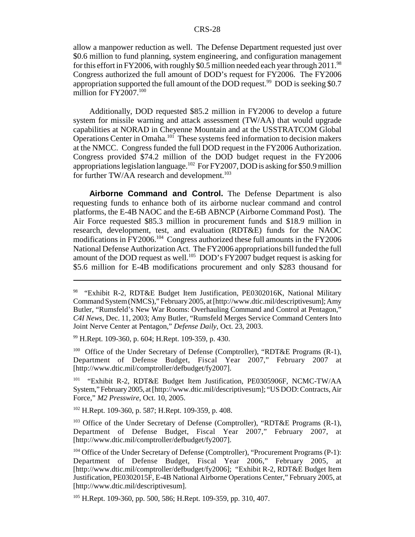allow a manpower reduction as well. The Defense Department requested just over \$0.6 million to fund planning, system engineering, and configuration management for this effort in FY2006, with roughly \$0.5 million needed each year through 2011.<sup>98</sup> Congress authorized the full amount of DOD's request for FY2006. The FY2006 appropriation supported the full amount of the DOD request.<sup>99</sup> DOD is seeking \$0.7 million for FY2007.<sup>100</sup>

Additionally, DOD requested \$85.2 million in FY2006 to develop a future system for missile warning and attack assessment (TW/AA) that would upgrade capabilities at NORAD in Cheyenne Mountain and at the USSTRATCOM Global Operations Center in Omaha.<sup>101</sup> These systems feed information to decision makers at the NMCC. Congress funded the full DOD request in the FY2006 Authorization. Congress provided \$74.2 million of the DOD budget request in the FY2006 appropriations legislation language.<sup>102</sup> For FY2007, DOD is asking for \$50.9 million for further TW/AA research and development. $103$ 

**Airborne Command and Control.** The Defense Department is also requesting funds to enhance both of its airborne nuclear command and control platforms, the E-4B NAOC and the E-6B ABNCP (Airborne Command Post). The Air Force requested \$85.3 million in procurement funds and \$18.9 million in research, development, test, and evaluation (RDT&E) funds for the NAOC modifications in FY2006.104 Congress authorized these full amounts in the FY2006 National Defense Authorization Act. The FY2006 appropriations bill funded the full amount of the DOD request as well.<sup>105</sup> DOD's FY2007 budget request is asking for \$5.6 million for E-4B modifications procurement and only \$283 thousand for

99 H.Rept. 109-360, p. 604; H.Rept. 109-359, p. 430.

<sup>100</sup> Office of the Under Secretary of Defense (Comptroller), "RDT&E Programs (R-1), Department of Defense Budget, Fiscal Year 2007," February 2007 at [http://www.dtic.mil/comptroller/defbudget/fy2007].

<sup>101</sup> "Exhibit R-2, RDT&E Budget Item Justification, PE0305906F, NCMC-TW/AA System," February 2005, at [http://www.dtic.mil/descriptivesum]; "US DOD: Contracts, Air Force," *M2 Presswire*, Oct. 10, 2005.

102 H.Rept. 109-360, p. 587; H.Rept. 109-359, p. 408.

<sup>103</sup> Office of the Under Secretary of Defense (Comptroller), "RDT&E Programs (R-1), Department of Defense Budget, Fiscal Year 2007," February 2007, at [http://www.dtic.mil/comptroller/defbudget/fy2007].

<sup>98 &</sup>quot;Exhibit R-2, RDT&E Budget Item Justification, PE0302016K, National Military Command System (NMCS)," February 2005, at [http://www.dtic.mil/descriptivesum]; Amy Butler, "Rumsfeld's New War Rooms: Overhauling Command and Control at Pentagon," *C4I News*, Dec. 11, 2003; Amy Butler, "Rumsfeld Merges Service Command Centers Into Joint Nerve Center at Pentagon," *Defense Daily*, Oct. 23, 2003.

 $104$  Office of the Under Secretary of Defense (Comptroller), "Procurement Programs (P-1): Department of Defense Budget, Fiscal Year 2006," February 2005, at [http://www.dtic.mil/comptroller/defbudget/fy2006]; "Exhibit R-2, RDT&E Budget Item Justification, PE0302015F, E-4B National Airborne Operations Center," February 2005, at [http://www.dtic.mil/descriptivesum].

<sup>&</sup>lt;sup>105</sup> H.Rept. 109-360, pp. 500, 586; H.Rept. 109-359, pp. 310, 407.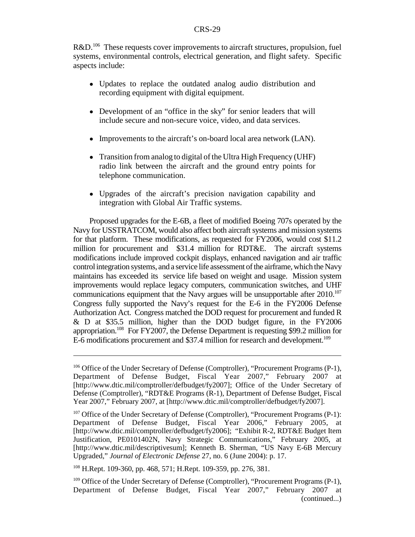R&D.<sup>106</sup> These requests cover improvements to aircraft structures, propulsion, fuel systems, environmental controls, electrical generation, and flight safety. Specific aspects include:

- ! Updates to replace the outdated analog audio distribution and recording equipment with digital equipment.
- Development of an "office in the sky" for senior leaders that will include secure and non-secure voice, video, and data services.
- Improvements to the aircraft's on-board local area network (LAN).
- Transition from analog to digital of the Ultra High Frequency (UHF) radio link between the aircraft and the ground entry points for telephone communication.
- ! Upgrades of the aircraft's precision navigation capability and integration with Global Air Traffic systems.

Proposed upgrades for the E-6B, a fleet of modified Boeing 707s operated by the Navy for USSTRATCOM, would also affect both aircraft systems and mission systems for that platform. These modifications, as requested for FY2006, would cost \$11.2 million for procurement and \$31.4 million for RDT&E. The aircraft systems modifications include improved cockpit displays, enhanced navigation and air traffic control integration systems, and a service life assessment of the airframe, which the Navy maintains has exceeded its service life based on weight and usage. Mission system improvements would replace legacy computers, communication switches, and UHF communications equipment that the Navy argues will be unsupportable after  $2010$ .<sup>107</sup> Congress fully supported the Navy's request for the E-6 in the FY2006 Defense Authorization Act. Congress matched the DOD request for procurement and funded R & D at \$35.5 million, higher than the DOD budget figure, in the FY2006 appropriation.108 For FY2007, the Defense Department is requesting \$99.2 million for E-6 modifications procurement and \$37.4 million for research and development.<sup>109</sup>

<sup>&</sup>lt;sup>106</sup> Office of the Under Secretary of Defense (Comptroller), "Procurement Programs (P-1), Department of Defense Budget, Fiscal Year 2007," February 2007 at [http://www.dtic.mil/comptroller/defbudget/fy2007]; Office of the Under Secretary of Defense (Comptroller), "RDT&E Programs (R-1), Department of Defense Budget, Fiscal Year 2007," February 2007, at [http://www.dtic.mil/comptroller/defbudget/fy2007].

 $107$  Office of the Under Secretary of Defense (Comptroller), "Procurement Programs (P-1): Department of Defense Budget, Fiscal Year 2006," February 2005, at [http://www.dtic.mil/comptroller/defbudget/fy2006]; "Exhibit R-2, RDT&E Budget Item Justification, PE0101402N, Navy Strategic Communications," February 2005, at [http://www.dtic.mil/descriptivesum]; Kenneth B. Sherman, "US Navy E-6B Mercury Upgraded," *Journal of Electronic Defense* 27, no. 6 (June 2004): p. 17.

<sup>108</sup> H.Rept. 109-360, pp. 468, 571; H.Rept. 109-359, pp. 276, 381.

<sup>&</sup>lt;sup>109</sup> Office of the Under Secretary of Defense (Comptroller), "Procurement Programs (P-1), Department of Defense Budget, Fiscal Year 2007," February 2007 at (continued...)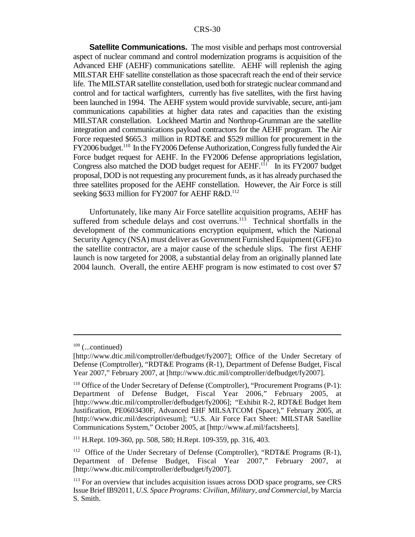**Satellite Communications.** The most visible and perhaps most controversial aspect of nuclear command and control modernization programs is acquisition of the Advanced EHF (AEHF) communications satellite. AEHF will replenish the aging MILSTAR EHF satellite constellation as those spacecraft reach the end of their service life. The MILSTAR satellite constellation, used both for strategic nuclear command and control and for tactical warfighters, currently has five satellites, with the first having been launched in 1994. The AEHF system would provide survivable, secure, anti-jam communications capabilities at higher data rates and capacities than the existing MILSTAR constellation. Lockheed Martin and Northrop-Grumman are the satellite integration and communications payload contractors for the AEHF program. The Air Force requested \$665.3 million in RDT&E and \$529 million for procurement in the FY2006 budget.110 In the FY2006 Defense Authorization, Congress fully funded the Air Force budget request for AEHF. In the FY2006 Defense appropriations legislation, Congress also matched the DOD budget request for  $AEHF<sup>111</sup>$  In its FY2007 budget proposal, DOD is not requesting any procurement funds, as it has already purchased the three satellites proposed for the AEHF constellation. However, the Air Force is still seeking \$633 million for FY2007 for AEHF R&D.<sup>112</sup>

Unfortunately, like many Air Force satellite acquisition programs, AEHF has suffered from schedule delays and cost overruns.<sup>113</sup> Technical shortfalls in the development of the communications encryption equipment, which the National Security Agency (NSA) must deliver as Government Furnished Equipment (GFE) to the satellite contractor, are a major cause of the schedule slips. The first AEHF launch is now targeted for 2008, a substantial delay from an originally planned late 2004 launch. Overall, the entire AEHF program is now estimated to cost over \$7

 $109$  (...continued)

<sup>[</sup>http://www.dtic.mil/comptroller/defbudget/fy2007]; Office of the Under Secretary of Defense (Comptroller), "RDT&E Programs (R-1), Department of Defense Budget, Fiscal Year 2007," February 2007, at [http://www.dtic.mil/comptroller/defbudget/fy2007].

<sup>&</sup>lt;sup>110</sup> Office of the Under Secretary of Defense (Comptroller), "Procurement Programs (P-1): Department of Defense Budget, Fiscal Year 2006," February 2005, at [http://www.dtic.mil/comptroller/defbudget/fy2006]; "Exhibit R-2, RDT&E Budget Item Justification, PE0603430F, Advanced EHF MILSATCOM (Space)," February 2005, at [http://www.dtic.mil/descriptivesum]; "U.S. Air Force Fact Sheet: MILSTAR Satellite Communications System," October 2005, at [http://www.af.mil/factsheets].

<sup>111</sup> H.Rept. 109-360, pp. 508, 580; H.Rept. 109-359, pp. 316, 403.

<sup>&</sup>lt;sup>112</sup> Office of the Under Secretary of Defense (Comptroller), "RDT&E Programs (R-1), Department of Defense Budget, Fiscal Year 2007," February 2007, at [http://www.dtic.mil/comptroller/defbudget/fy2007].

<sup>&</sup>lt;sup>113</sup> For an overview that includes acquisition issues across DOD space programs, see CRS Issue Brief IB92011, *U.S. Space Programs: Civilian, Military, and Commercial*, by Marcia S. Smith.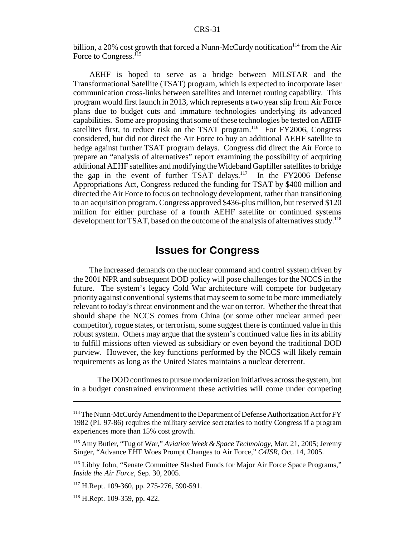billion, a 20% cost growth that forced a Nunn-McCurdy notification<sup>114</sup> from the Air Force to Congress.<sup>115</sup>

AEHF is hoped to serve as a bridge between MILSTAR and the Transformational Satellite (TSAT) program, which is expected to incorporate laser communication cross-links between satellites and Internet routing capability. This program would first launch in 2013, which represents a two year slip from Air Force plans due to budget cuts and immature technologies underlying its advanced capabilities. Some are proposing that some of these technologies be tested on AEHF satellites first, to reduce risk on the TSAT program.<sup>116</sup> For FY2006, Congress considered, but did not direct the Air Force to buy an additional AEHF satellite to hedge against further TSAT program delays. Congress did direct the Air Force to prepare an "analysis of alternatives" report examining the possibility of acquiring additional AEHF satellites and modifying the Wideband Gapfiller satellites to bridge the gap in the event of further TSAT delays.<sup>117</sup> In the FY2006 Defense Appropriations Act, Congress reduced the funding for TSAT by \$400 million and directed the Air Force to focus on technology development, rather than transitioning to an acquisition program. Congress approved \$436-plus million, but reserved \$120 million for either purchase of a fourth AEHF satellite or continued systems development for TSAT, based on the outcome of the analysis of alternatives study.<sup>118</sup>

# **Issues for Congress**

The increased demands on the nuclear command and control system driven by the 2001 NPR and subsequent DOD policy will pose challenges for the NCCS in the future. The system's legacy Cold War architecture will compete for budgetary priority against conventional systems that may seem to some to be more immediately relevant to today's threat environment and the war on terror. Whether the threat that should shape the NCCS comes from China (or some other nuclear armed peer competitor), rogue states, or terrorism, some suggest there is continued value in this robust system. Others may argue that the system's continued value lies in its ability to fulfill missions often viewed as subsidiary or even beyond the traditional DOD purview. However, the key functions performed by the NCCS will likely remain requirements as long as the United States maintains a nuclear deterrent.

The DOD continues to pursue modernization initiatives across the system, but in a budget constrained environment these activities will come under competing

<sup>&</sup>lt;sup>114</sup> The Nunn-McCurdy Amendment to the Department of Defense Authorization Act for FY 1982 (PL 97-86) requires the military service secretaries to notify Congress if a program experiences more than 15% cost growth.

<sup>115</sup> Amy Butler, "Tug of War," *Aviation Week & Space Technology*, Mar. 21, 2005; Jeremy Singer, "Advance EHF Woes Prompt Changes to Air Force," *C4ISR*, Oct. 14, 2005.

<sup>116</sup> Libby John, "Senate Committee Slashed Funds for Major Air Force Space Programs," *Inside the Air Force*, Sep. 30, 2005.

<sup>&</sup>lt;sup>117</sup> H.Rept. 109-360, pp. 275-276, 590-591.

<sup>118</sup> H.Rept. 109-359, pp. 422.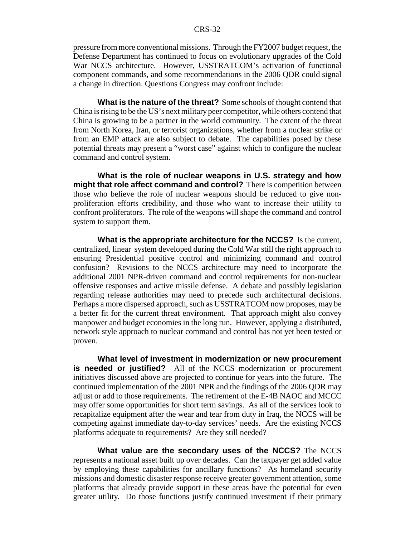pressure from more conventional missions. Through the FY2007 budget request, the Defense Department has continued to focus on evolutionary upgrades of the Cold War NCCS architecture. However, USSTRATCOM's activation of functional component commands, and some recommendations in the 2006 QDR could signal a change in direction. Questions Congress may confront include:

**What is the nature of the threat?** Some schools of thought contend that China is rising to be the US's next military peer competitor, while others contend that China is growing to be a partner in the world community. The extent of the threat from North Korea, Iran, or terrorist organizations, whether from a nuclear strike or from an EMP attack are also subject to debate. The capabilities posed by these potential threats may present a "worst case" against which to configure the nuclear command and control system.

**What is the role of nuclear weapons in U.S. strategy and how might that role affect command and control?** There is competition between those who believe the role of nuclear weapons should be reduced to give nonproliferation efforts credibility, and those who want to increase their utility to confront proliferators. The role of the weapons will shape the command and control system to support them.

**What is the appropriate architecture for the NCCS?** Is the current, centralized, linear system developed during the Cold War still the right approach to ensuring Presidential positive control and minimizing command and control confusion? Revisions to the NCCS architecture may need to incorporate the additional 2001 NPR-driven command and control requirements for non-nuclear offensive responses and active missile defense. A debate and possibly legislation regarding release authorities may need to precede such architectural decisions. Perhaps a more dispersed approach, such as USSTRATCOM now proposes, may be a better fit for the current threat environment. That approach might also convey manpower and budget economies in the long run. However, applying a distributed, network style approach to nuclear command and control has not yet been tested or proven.

**What level of investment in modernization or new procurement is needed or justified?** All of the NCCS modernization or procurement initiatives discussed above are projected to continue for years into the future. The continued implementation of the 2001 NPR and the findings of the 2006 QDR may adjust or add to those requirements. The retirement of the E-4B NAOC and MCCC may offer some opportunities for short term savings. As all of the services look to recapitalize equipment after the wear and tear from duty in Iraq, the NCCS will be competing against immediate day-to-day services' needs. Are the existing NCCS platforms adequate to requirements? Are they still needed?

**What value are the secondary uses of the NCCS?** The NCCS represents a national asset built up over decades. Can the taxpayer get added value by employing these capabilities for ancillary functions? As homeland security missions and domestic disaster response receive greater government attention, some platforms that already provide support in these areas have the potential for even greater utility. Do those functions justify continued investment if their primary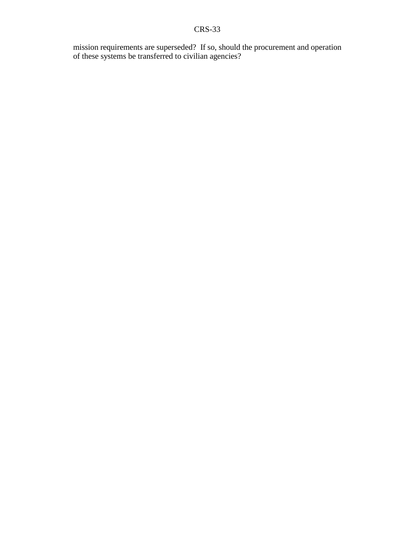mission requirements are superseded? If so, should the procurement and operation of these systems be transferred to civilian agencies?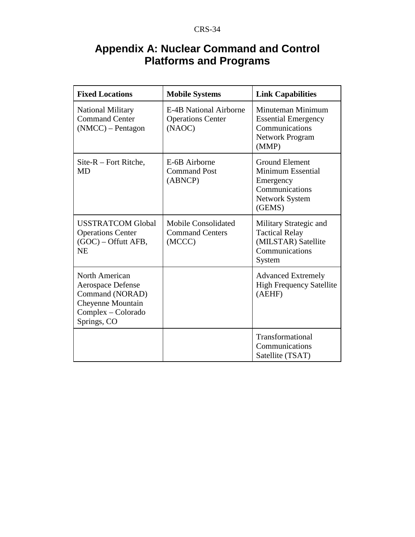# **Appendix A: Nuclear Command and Control Platforms and Programs**

| <b>Fixed Locations</b>                                                                                                  | <b>Mobile Systems</b>                                               | <b>Link Capabilities</b>                                                                                     |
|-------------------------------------------------------------------------------------------------------------------------|---------------------------------------------------------------------|--------------------------------------------------------------------------------------------------------------|
| National Military<br><b>Command Center</b><br>(NMCC) - Pentagon                                                         | <b>E-4B National Airborne</b><br><b>Operations Center</b><br>(NAOC) | Minuteman Minimum<br><b>Essential Emergency</b><br>Communications<br><b>Network Program</b><br>(MMP)         |
| $Site-R - Fort Ritche,$<br><b>MD</b>                                                                                    | E-6B Airborne<br><b>Command Post</b><br>(ABNCP)                     | <b>Ground Element</b><br>Minimum Essential<br>Emergency<br>Communications<br><b>Network System</b><br>(GEMS) |
| <b>USSTRATCOM Global</b><br><b>Operations Center</b><br>$(GOC) - Offutt AFB$ ,<br><b>NE</b>                             | <b>Mobile Consolidated</b><br><b>Command Centers</b><br>(MCCC)      | Military Strategic and<br><b>Tactical Relay</b><br>(MILSTAR) Satellite<br>Communications<br>System           |
| North American<br><b>Aerospace Defense</b><br>Command (NORAD)<br>Cheyenne Mountain<br>Complex – Colorado<br>Springs, CO |                                                                     | <b>Advanced Extremely</b><br><b>High Frequency Satellite</b><br>(AEHF)                                       |
|                                                                                                                         |                                                                     | Transformational<br>Communications<br>Satellite (TSAT)                                                       |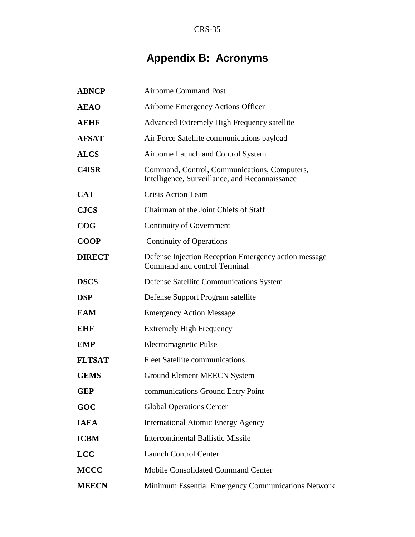# **Appendix B: Acronyms**

| <b>ABNCP</b>  | <b>Airborne Command Post</b>                                                                   |
|---------------|------------------------------------------------------------------------------------------------|
| <b>AEAO</b>   | Airborne Emergency Actions Officer                                                             |
| <b>AEHF</b>   | <b>Advanced Extremely High Frequency satellite</b>                                             |
| <b>AFSAT</b>  | Air Force Satellite communications payload                                                     |
| <b>ALCS</b>   | Airborne Launch and Control System                                                             |
| <b>C4ISR</b>  | Command, Control, Communications, Computers,<br>Intelligence, Surveillance, and Reconnaissance |
| <b>CAT</b>    | <b>Crisis Action Team</b>                                                                      |
| <b>CJCS</b>   | Chairman of the Joint Chiefs of Staff                                                          |
| COG           | Continuity of Government                                                                       |
| <b>COOP</b>   | <b>Continuity of Operations</b>                                                                |
| <b>DIRECT</b> | Defense Injection Reception Emergency action message<br>Command and control Terminal           |
| <b>DSCS</b>   | Defense Satellite Communications System                                                        |
| <b>DSP</b>    | Defense Support Program satellite                                                              |
| <b>EAM</b>    | <b>Emergency Action Message</b>                                                                |
| <b>EHF</b>    | <b>Extremely High Frequency</b>                                                                |
| <b>EMP</b>    | Electromagnetic Pulse                                                                          |
| <b>FLTSAT</b> | <b>Fleet Satellite communications</b>                                                          |
| <b>GEMS</b>   | Ground Element MEECN System                                                                    |
| <b>GEP</b>    | communications Ground Entry Point                                                              |
| GOC           | <b>Global Operations Center</b>                                                                |
| <b>IAEA</b>   | <b>International Atomic Energy Agency</b>                                                      |
| <b>ICBM</b>   | <b>Intercontinental Ballistic Missile</b>                                                      |
| <b>LCC</b>    | <b>Launch Control Center</b>                                                                   |
| <b>MCCC</b>   | <b>Mobile Consolidated Command Center</b>                                                      |
| <b>MEECN</b>  | Minimum Essential Emergency Communications Network                                             |